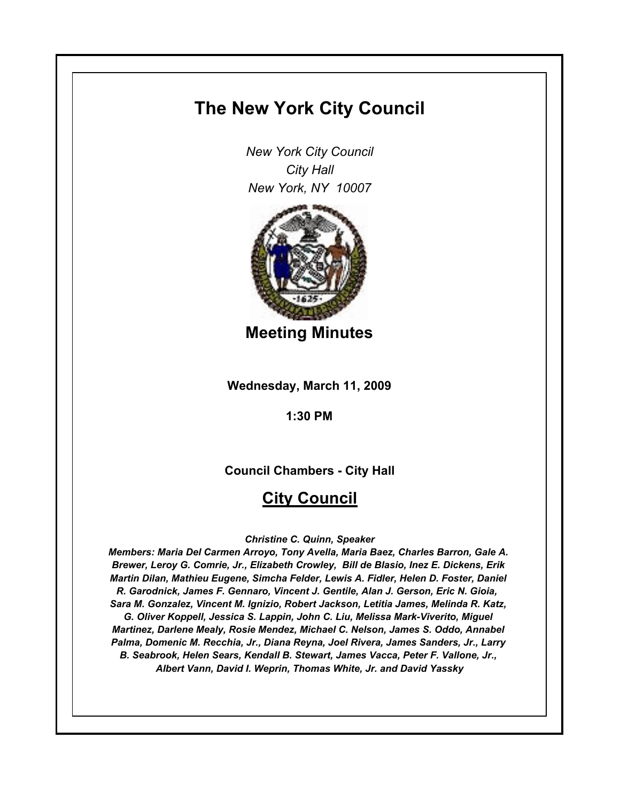# **The New York City Council**

*New York City Council City Hall New York, NY 10007*



**Meeting Minutes**

**Wednesday, March 11, 2009**

**1:30 PM**

**Council Chambers - City Hall**

# **City Council**

# *Christine C. Quinn, Speaker*

*Members: Maria Del Carmen Arroyo, Tony Avella, Maria Baez, Charles Barron, Gale A. Brewer, Leroy G. Comrie, Jr., Elizabeth Crowley, Bill de Blasio, Inez E. Dickens, Erik Martin Dilan, Mathieu Eugene, Simcha Felder, Lewis A. Fidler, Helen D. Foster, Daniel R. Garodnick, James F. Gennaro, Vincent J. Gentile, Alan J. Gerson, Eric N. Gioia, Sara M. Gonzalez, Vincent M. Ignizio, Robert Jackson, Letitia James, Melinda R. Katz, G. Oliver Koppell, Jessica S. Lappin, John C. Liu, Melissa Mark-Viverito, Miguel Martinez, Darlene Mealy, Rosie Mendez, Michael C. Nelson, James S. Oddo, Annabel Palma, Domenic M. Recchia, Jr., Diana Reyna, Joel Rivera, James Sanders, Jr., Larry B. Seabrook, Helen Sears, Kendall B. Stewart, James Vacca, Peter F. Vallone, Jr., Albert Vann, David I. Weprin, Thomas White, Jr. and David Yassky*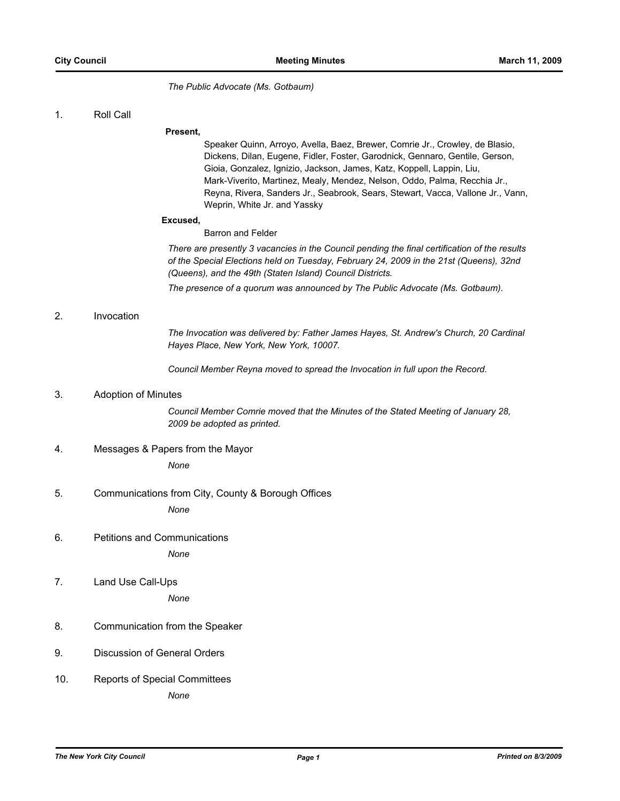*The Public Advocate (Ms. Gotbaum)*

1. Roll Call

#### **Present,**

Speaker Quinn, Arroyo, Avella, Baez, Brewer, Comrie Jr., Crowley, de Blasio, Dickens, Dilan, Eugene, Fidler, Foster, Garodnick, Gennaro, Gentile, Gerson, Gioia, Gonzalez, Ignizio, Jackson, James, Katz, Koppell, Lappin, Liu, Mark-Viverito, Martinez, Mealy, Mendez, Nelson, Oddo, Palma, Recchia Jr., Reyna, Rivera, Sanders Jr., Seabrook, Sears, Stewart, Vacca, Vallone Jr., Vann, Weprin, White Jr. and Yassky

#### **Excused,**

Barron and Felder

*There are presently 3 vacancies in the Council pending the final certification of the results of the Special Elections held on Tuesday, February 24, 2009 in the 21st (Queens), 32nd (Queens), and the 49th (Staten Island) Council Districts.*

*The presence of a quorum was announced by The Public Advocate (Ms. Gotbaum).*

#### 2. Invocation

*The Invocation was delivered by: Father James Hayes, St. Andrew's Church, 20 Cardinal Hayes Place, New York, New York, 10007.*

*Council Member Reyna moved to spread the Invocation in full upon the Record.*

### 3. Adoption of Minutes

*Council Member Comrie moved that the Minutes of the Stated Meeting of January 28, 2009 be adopted as printed.*

#### 4. Messages & Papers from the Mayor

*None*

### 5. Communications from City, County & Borough Offices

*None*

6. Petitions and Communications

*None*

7. Land Use Call-Ups

*None*

- 8. Communication from the Speaker
- 9. Discussion of General Orders
- 10. Reports of Special Committees

*None*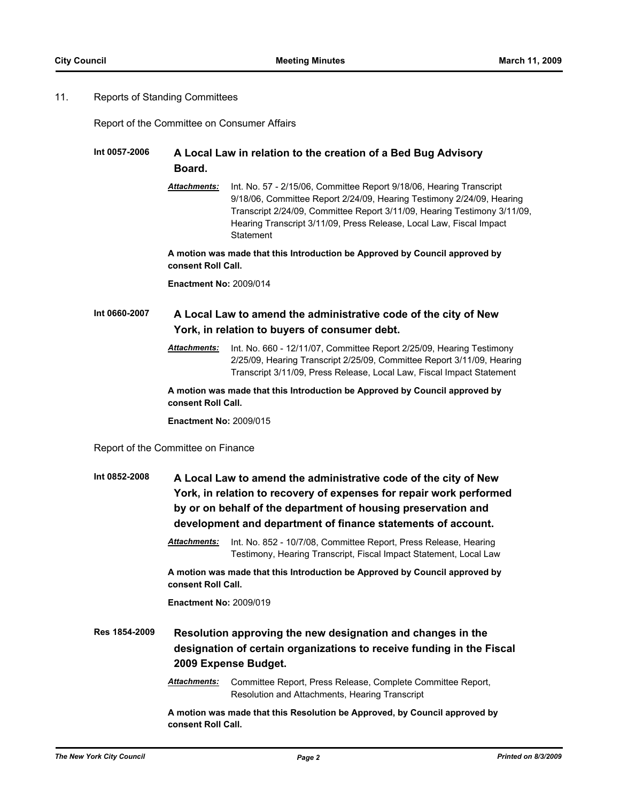## 11. Reports of Standing Committees

Report of the Committee on Consumer Affairs

# **Int 0057-2006 A Local Law in relation to the creation of a Bed Bug Advisory Board.**

*Attachments:* Int. No. 57 - 2/15/06, Committee Report 9/18/06, Hearing Transcript 9/18/06, Committee Report 2/24/09, Hearing Testimony 2/24/09, Hearing Transcript 2/24/09, Committee Report 3/11/09, Hearing Testimony 3/11/09, Hearing Transcript 3/11/09, Press Release, Local Law, Fiscal Impact **Statement** 

**A motion was made that this Introduction be Approved by Council approved by consent Roll Call.**

**Enactment No:** 2009/014

# **Int 0660-2007 A Local Law to amend the administrative code of the city of New York, in relation to buyers of consumer debt.**

*Attachments:* Int. No. 660 - 12/11/07, Committee Report 2/25/09, Hearing Testimony 2/25/09, Hearing Transcript 2/25/09, Committee Report 3/11/09, Hearing Transcript 3/11/09, Press Release, Local Law, Fiscal Impact Statement

**A motion was made that this Introduction be Approved by Council approved by consent Roll Call.**

**Enactment No:** 2009/015

#### Report of the Committee on Finance

| Int 0852-2008 | A Local Law to amend the administrative code of the city of New<br>York, in relation to recovery of expenses for repair work performed<br>by or on behalf of the department of housing preservation and<br>development and department of finance statements of account. |                                                                                                                                       |  |
|---------------|-------------------------------------------------------------------------------------------------------------------------------------------------------------------------------------------------------------------------------------------------------------------------|---------------------------------------------------------------------------------------------------------------------------------------|--|
|               | <b>Attachments:</b>                                                                                                                                                                                                                                                     | Int. No. 852 - 10/7/08, Committee Report, Press Release, Hearing<br>Testimony, Hearing Transcript, Fiscal Impact Statement, Local Law |  |
|               | A motion was made that this Introduction be Approved by Council approved by<br>consent Roll Call.                                                                                                                                                                       |                                                                                                                                       |  |
|               | <b>Enactment No: 2009/019</b>                                                                                                                                                                                                                                           |                                                                                                                                       |  |
| B. 4054 0000  |                                                                                                                                                                                                                                                                         |                                                                                                                                       |  |

**Res 1854-2009 Resolution approving the new designation and changes in the designation of certain organizations to receive funding in the Fiscal 2009 Expense Budget.**

> *Attachments:* Committee Report, Press Release, Complete Committee Report, Resolution and Attachments, Hearing Transcript

**A motion was made that this Resolution be Approved, by Council approved by consent Roll Call.**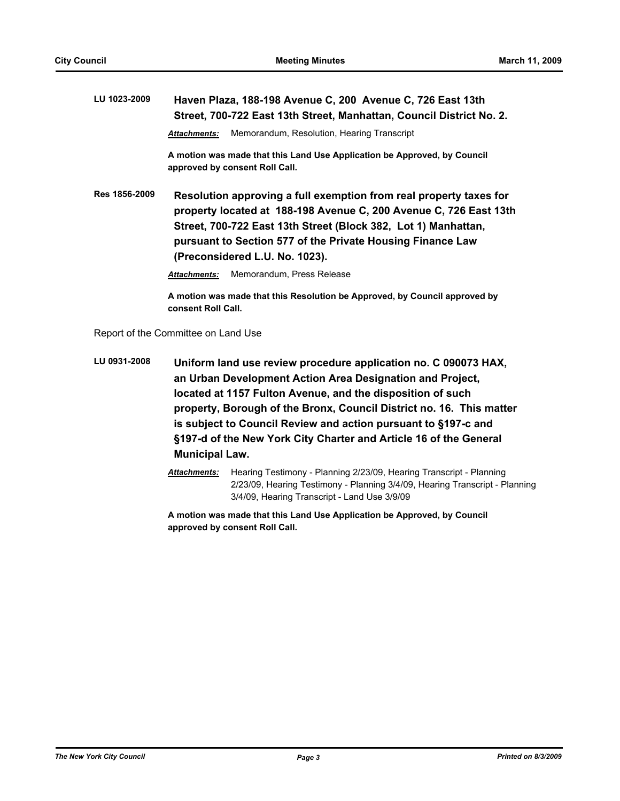**LU 1023-2009 Haven Plaza, 188-198 Avenue C, 200 Avenue C, 726 East 13th Street, 700-722 East 13th Street, Manhattan, Council District No. 2.** *Attachments:* Memorandum, Resolution, Hearing Transcript **A motion was made that this Land Use Application be Approved, by Council approved by consent Roll Call. Res 1856-2009 Resolution approving a full exemption from real property taxes for property located at 188-198 Avenue C, 200 Avenue C, 726 East 13th Street, 700-722 East 13th Street (Block 382, Lot 1) Manhattan, pursuant to Section 577 of the Private Housing Finance Law (Preconsidered L.U. No. 1023).**

*Attachments:* Memorandum, Press Release

**A motion was made that this Resolution be Approved, by Council approved by consent Roll Call.**

Report of the Committee on Land Use

**LU 0931-2008 Uniform land use review procedure application no. C 090073 HAX, an Urban Development Action Area Designation and Project, located at 1157 Fulton Avenue, and the disposition of such property, Borough of the Bronx, Council District no. 16. This matter is subject to Council Review and action pursuant to §197-c and §197-d of the New York City Charter and Article 16 of the General Municipal Law.**

> *Attachments:* Hearing Testimony - Planning 2/23/09, Hearing Transcript - Planning 2/23/09, Hearing Testimony - Planning 3/4/09, Hearing Transcript - Planning 3/4/09, Hearing Transcript - Land Use 3/9/09

**A motion was made that this Land Use Application be Approved, by Council approved by consent Roll Call.**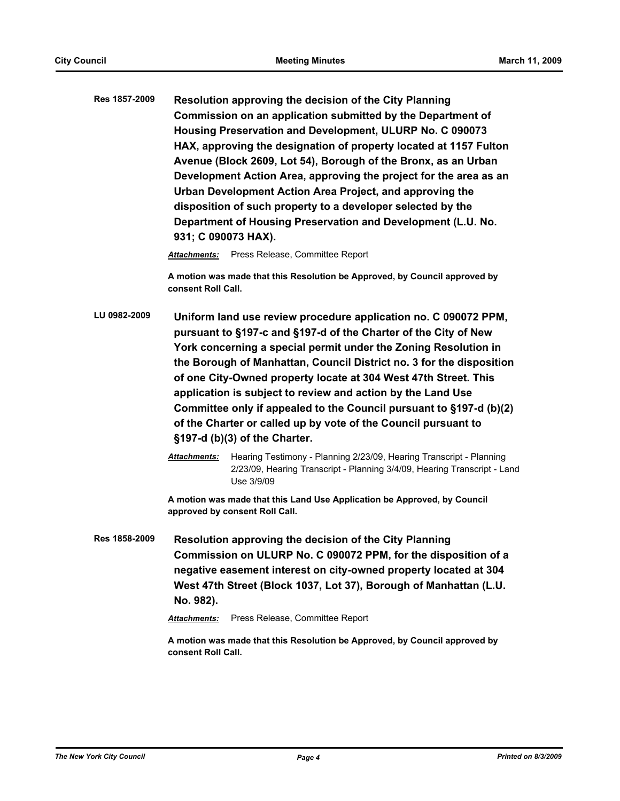**Res 1857-2009 Resolution approving the decision of the City Planning Commission on an application submitted by the Department of Housing Preservation and Development, ULURP No. C 090073 HAX, approving the designation of property located at 1157 Fulton Avenue (Block 2609, Lot 54), Borough of the Bronx, as an Urban Development Action Area, approving the project for the area as an Urban Development Action Area Project, and approving the disposition of such property to a developer selected by the Department of Housing Preservation and Development (L.U. No. 931; C 090073 HAX).**

*Attachments:* Press Release, Committee Report

**A motion was made that this Resolution be Approved, by Council approved by consent Roll Call.**

- **LU 0982-2009 Uniform land use review procedure application no. C 090072 PPM, pursuant to §197-c and §197-d of the Charter of the City of New York concerning a special permit under the Zoning Resolution in the Borough of Manhattan, Council District no. 3 for the disposition of one City-Owned property locate at 304 West 47th Street. This application is subject to review and action by the Land Use Committee only if appealed to the Council pursuant to §197-d (b)(2) of the Charter or called up by vote of the Council pursuant to §197-d (b)(3) of the Charter.**
	- *Attachments:* Hearing Testimony Planning 2/23/09, Hearing Transcript Planning 2/23/09, Hearing Transcript - Planning 3/4/09, Hearing Transcript - Land Use 3/9/09

**A motion was made that this Land Use Application be Approved, by Council approved by consent Roll Call.**

**Res 1858-2009 Resolution approving the decision of the City Planning Commission on ULURP No. C 090072 PPM, for the disposition of a negative easement interest on city-owned property located at 304 West 47th Street (Block 1037, Lot 37), Borough of Manhattan (L.U. No. 982).**

*Attachments:* Press Release, Committee Report

**A motion was made that this Resolution be Approved, by Council approved by consent Roll Call.**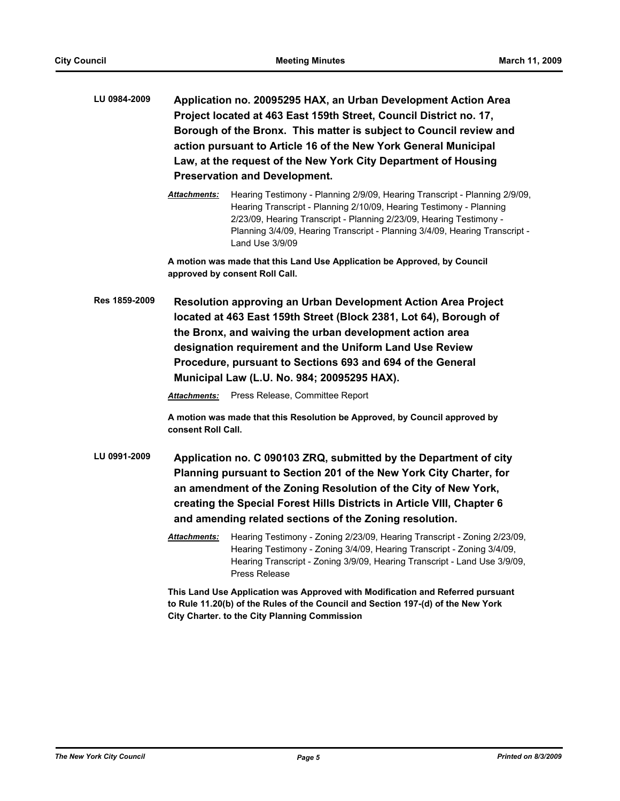- **LU 0984-2009 Application no. 20095295 HAX, an Urban Development Action Area Project located at 463 East 159th Street, Council District no. 17, Borough of the Bronx. This matter is subject to Council review and action pursuant to Article 16 of the New York General Municipal Law, at the request of the New York City Department of Housing Preservation and Development.**
	- *Attachments:* Hearing Testimony Planning 2/9/09, Hearing Transcript Planning 2/9/09, Hearing Transcript - Planning 2/10/09, Hearing Testimony - Planning 2/23/09, Hearing Transcript - Planning 2/23/09, Hearing Testimony - Planning 3/4/09, Hearing Transcript - Planning 3/4/09, Hearing Transcript - Land Use 3/9/09

**A motion was made that this Land Use Application be Approved, by Council approved by consent Roll Call.**

**Res 1859-2009 Resolution approving an Urban Development Action Area Project located at 463 East 159th Street (Block 2381, Lot 64), Borough of the Bronx, and waiving the urban development action area designation requirement and the Uniform Land Use Review Procedure, pursuant to Sections 693 and 694 of the General Municipal Law (L.U. No. 984; 20095295 HAX).**

*Attachments:* Press Release, Committee Report

**A motion was made that this Resolution be Approved, by Council approved by consent Roll Call.**

- **LU 0991-2009 Application no. C 090103 ZRQ, submitted by the Department of city Planning pursuant to Section 201 of the New York City Charter, for an amendment of the Zoning Resolution of the City of New York, creating the Special Forest Hills Districts in Article VIII, Chapter 6 and amending related sections of the Zoning resolution.**
	- *Attachments:* Hearing Testimony Zoning 2/23/09, Hearing Transcript Zoning 2/23/09, Hearing Testimony - Zoning 3/4/09, Hearing Transcript - Zoning 3/4/09, Hearing Transcript - Zoning 3/9/09, Hearing Transcript - Land Use 3/9/09, Press Release

**This Land Use Application was Approved with Modification and Referred pursuant to Rule 11.20(b) of the Rules of the Council and Section 197-(d) of the New York City Charter. to the City Planning Commission**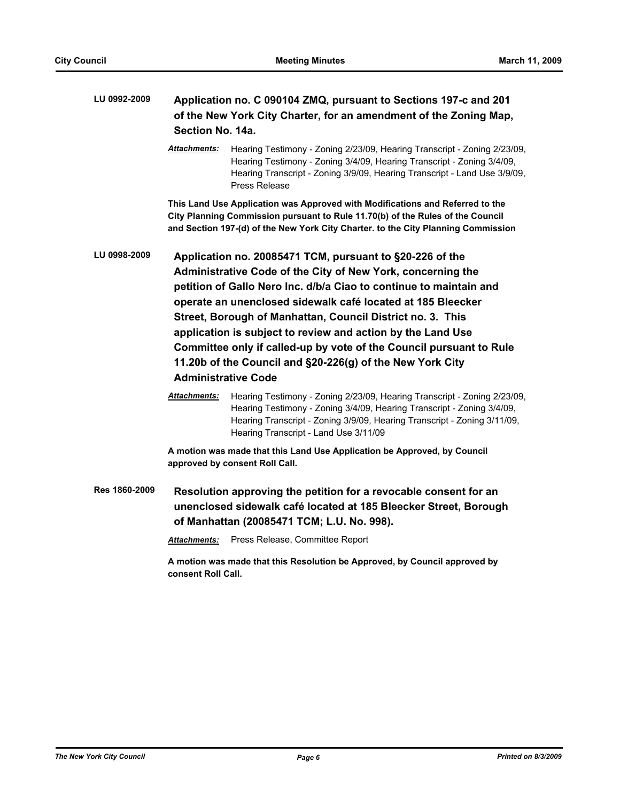| LU 0992-2009  | Application no. C 090104 ZMQ, pursuant to Sections 197-c and 201<br>of the New York City Charter, for an amendment of the Zoning Map,<br>Section No. 14a. |                                                                                                                                                                                                                                                                                                                                                                                                                                                                                                                                                             |  |
|---------------|-----------------------------------------------------------------------------------------------------------------------------------------------------------|-------------------------------------------------------------------------------------------------------------------------------------------------------------------------------------------------------------------------------------------------------------------------------------------------------------------------------------------------------------------------------------------------------------------------------------------------------------------------------------------------------------------------------------------------------------|--|
|               | <u> Attachments:</u>                                                                                                                                      | Hearing Testimony - Zoning 2/23/09, Hearing Transcript - Zoning 2/23/09,<br>Hearing Testimony - Zoning 3/4/09, Hearing Transcript - Zoning 3/4/09,<br>Hearing Transcript - Zoning 3/9/09, Hearing Transcript - Land Use 3/9/09,<br>Press Release                                                                                                                                                                                                                                                                                                            |  |
|               |                                                                                                                                                           | This Land Use Application was Approved with Modifications and Referred to the<br>City Planning Commission pursuant to Rule 11.70(b) of the Rules of the Council<br>and Section 197-(d) of the New York City Charter. to the City Planning Commission                                                                                                                                                                                                                                                                                                        |  |
| LU 0998-2009  |                                                                                                                                                           | Application no. 20085471 TCM, pursuant to §20-226 of the<br>Administrative Code of the City of New York, concerning the<br>petition of Gallo Nero Inc. d/b/a Ciao to continue to maintain and<br>operate an unenclosed sidewalk café located at 185 Bleecker<br>Street, Borough of Manhattan, Council District no. 3. This<br>application is subject to review and action by the Land Use<br>Committee only if called-up by vote of the Council pursuant to Rule<br>11.20b of the Council and §20-226(g) of the New York City<br><b>Administrative Code</b> |  |
|               | Attachments:                                                                                                                                              | Hearing Testimony - Zoning 2/23/09, Hearing Transcript - Zoning 2/23/09,<br>Hearing Testimony - Zoning 3/4/09, Hearing Transcript - Zoning 3/4/09,<br>Hearing Transcript - Zoning 3/9/09, Hearing Transcript - Zoning 3/11/09,<br>Hearing Transcript - Land Use 3/11/09                                                                                                                                                                                                                                                                                     |  |
|               |                                                                                                                                                           | A motion was made that this Land Use Application be Approved, by Council<br>approved by consent Roll Call.                                                                                                                                                                                                                                                                                                                                                                                                                                                  |  |
| Res 1860-2009 |                                                                                                                                                           | Resolution approving the petition for a revocable consent for an<br>unenclosed sidewalk café located at 185 Bleecker Street, Borough<br>of Manhattan (20085471 TCM; L.U. No. 998).                                                                                                                                                                                                                                                                                                                                                                          |  |
|               | <b>Attachments:</b>                                                                                                                                       | Press Release, Committee Report                                                                                                                                                                                                                                                                                                                                                                                                                                                                                                                             |  |
|               | A motion was made that this Resolution be Approved, by Council approved by<br>consent Roll Call.                                                          |                                                                                                                                                                                                                                                                                                                                                                                                                                                                                                                                                             |  |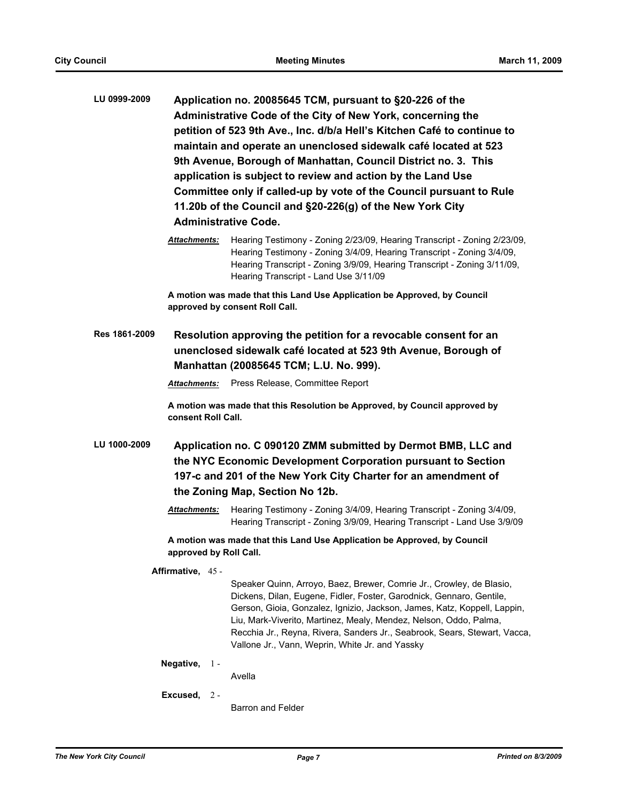| LU 0999-2009                                                                                                                                                                                   | Application no. 20085645 TCM, pursuant to §20-226 of the<br>Administrative Code of the City of New York, concerning the<br>petition of 523 9th Ave., Inc. d/b/a Hell's Kitchen Café to continue to<br>maintain and operate an unenclosed sidewalk café located at 523<br>9th Avenue, Borough of Manhattan, Council District no. 3. This<br>application is subject to review and action by the Land Use<br>Committee only if called-up by vote of the Council pursuant to Rule<br>11.20b of the Council and §20-226(g) of the New York City<br><b>Administrative Code.</b> |  |                                                                                                                                                                                                                                                                                                                                                                                                                               |
|------------------------------------------------------------------------------------------------------------------------------------------------------------------------------------------------|---------------------------------------------------------------------------------------------------------------------------------------------------------------------------------------------------------------------------------------------------------------------------------------------------------------------------------------------------------------------------------------------------------------------------------------------------------------------------------------------------------------------------------------------------------------------------|--|-------------------------------------------------------------------------------------------------------------------------------------------------------------------------------------------------------------------------------------------------------------------------------------------------------------------------------------------------------------------------------------------------------------------------------|
|                                                                                                                                                                                                | Attachments:                                                                                                                                                                                                                                                                                                                                                                                                                                                                                                                                                              |  | Hearing Testimony - Zoning 2/23/09, Hearing Transcript - Zoning 2/23/09,<br>Hearing Testimony - Zoning 3/4/09, Hearing Transcript - Zoning 3/4/09,<br>Hearing Transcript - Zoning 3/9/09, Hearing Transcript - Zoning 3/11/09,<br>Hearing Transcript - Land Use 3/11/09                                                                                                                                                       |
|                                                                                                                                                                                                |                                                                                                                                                                                                                                                                                                                                                                                                                                                                                                                                                                           |  | A motion was made that this Land Use Application be Approved, by Council<br>approved by consent Roll Call.                                                                                                                                                                                                                                                                                                                    |
| Res 1861-2009<br>Resolution approving the petition for a revocable consent for an<br>unenclosed sidewalk café located at 523 9th Avenue, Borough of<br>Manhattan (20085645 TCM; L.U. No. 999). |                                                                                                                                                                                                                                                                                                                                                                                                                                                                                                                                                                           |  |                                                                                                                                                                                                                                                                                                                                                                                                                               |
|                                                                                                                                                                                                | <b>Attachments:</b>                                                                                                                                                                                                                                                                                                                                                                                                                                                                                                                                                       |  | Press Release, Committee Report                                                                                                                                                                                                                                                                                                                                                                                               |
|                                                                                                                                                                                                | consent Roll Call.                                                                                                                                                                                                                                                                                                                                                                                                                                                                                                                                                        |  | A motion was made that this Resolution be Approved, by Council approved by                                                                                                                                                                                                                                                                                                                                                    |
| LU 1000-2009                                                                                                                                                                                   |                                                                                                                                                                                                                                                                                                                                                                                                                                                                                                                                                                           |  | Application no. C 090120 ZMM submitted by Dermot BMB, LLC and<br>the NYC Economic Development Corporation pursuant to Section<br>197-c and 201 of the New York City Charter for an amendment of<br>the Zoning Map, Section No 12b.                                                                                                                                                                                            |
|                                                                                                                                                                                                | Attachments:                                                                                                                                                                                                                                                                                                                                                                                                                                                                                                                                                              |  | Hearing Testimony - Zoning 3/4/09, Hearing Transcript - Zoning 3/4/09,<br>Hearing Transcript - Zoning 3/9/09, Hearing Transcript - Land Use 3/9/09                                                                                                                                                                                                                                                                            |
| A motion was made that this Land Use Application be Approved, by Council<br>approved by Roll Call.                                                                                             |                                                                                                                                                                                                                                                                                                                                                                                                                                                                                                                                                                           |  |                                                                                                                                                                                                                                                                                                                                                                                                                               |
|                                                                                                                                                                                                | Affirmative, 45 -                                                                                                                                                                                                                                                                                                                                                                                                                                                                                                                                                         |  | Speaker Quinn, Arroyo, Baez, Brewer, Comrie Jr., Crowley, de Blasio,<br>Dickens, Dilan, Eugene, Fidler, Foster, Garodnick, Gennaro, Gentile,<br>Gerson, Gioia, Gonzalez, Ignizio, Jackson, James, Katz, Koppell, Lappin,<br>Liu, Mark-Viverito, Martinez, Mealy, Mendez, Nelson, Oddo, Palma,<br>Recchia Jr., Reyna, Rivera, Sanders Jr., Seabrook, Sears, Stewart, Vacca,<br>Vallone Jr., Vann, Weprin, White Jr. and Yassky |
|                                                                                                                                                                                                | Negative, $1 -$                                                                                                                                                                                                                                                                                                                                                                                                                                                                                                                                                           |  | Avella                                                                                                                                                                                                                                                                                                                                                                                                                        |
|                                                                                                                                                                                                | Excused, $2 -$                                                                                                                                                                                                                                                                                                                                                                                                                                                                                                                                                            |  |                                                                                                                                                                                                                                                                                                                                                                                                                               |

Barron and Felder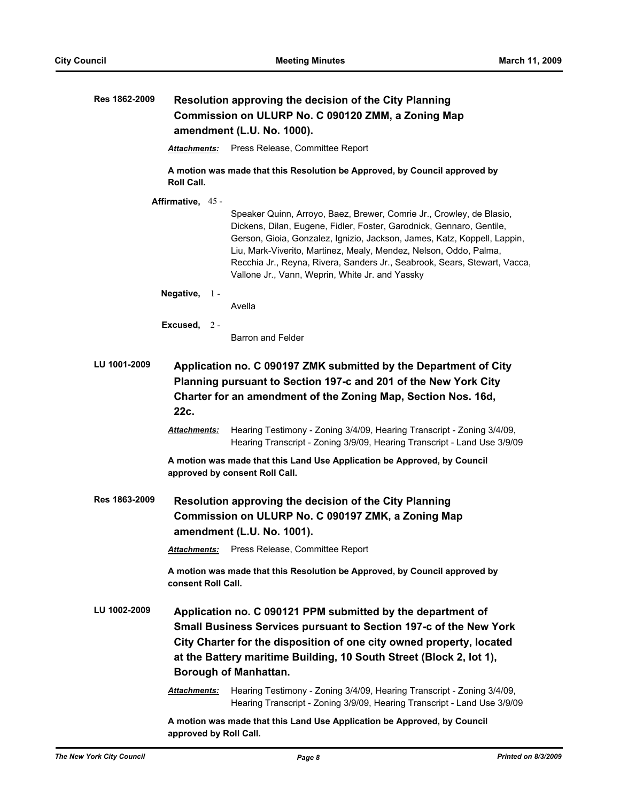| Res 1862-2009 | Resolution approving the decision of the City Planning<br>Commission on ULURP No. C 090120 ZMM, a Zoning Map<br>amendment (L.U. No. 1000). |                                                                                                                                                                                                                                                                                                                                                                                                                               |  |
|---------------|--------------------------------------------------------------------------------------------------------------------------------------------|-------------------------------------------------------------------------------------------------------------------------------------------------------------------------------------------------------------------------------------------------------------------------------------------------------------------------------------------------------------------------------------------------------------------------------|--|
|               | <b>Attachments:</b>                                                                                                                        | Press Release, Committee Report                                                                                                                                                                                                                                                                                                                                                                                               |  |
|               | <b>Roll Call.</b>                                                                                                                          | A motion was made that this Resolution be Approved, by Council approved by                                                                                                                                                                                                                                                                                                                                                    |  |
|               | Affirmative, 45 -                                                                                                                          |                                                                                                                                                                                                                                                                                                                                                                                                                               |  |
|               |                                                                                                                                            | Speaker Quinn, Arroyo, Baez, Brewer, Comrie Jr., Crowley, de Blasio,<br>Dickens, Dilan, Eugene, Fidler, Foster, Garodnick, Gennaro, Gentile,<br>Gerson, Gioia, Gonzalez, Ignizio, Jackson, James, Katz, Koppell, Lappin,<br>Liu, Mark-Viverito, Martinez, Mealy, Mendez, Nelson, Oddo, Palma,<br>Recchia Jr., Reyna, Rivera, Sanders Jr., Seabrook, Sears, Stewart, Vacca,<br>Vallone Jr., Vann, Weprin, White Jr. and Yassky |  |
|               | Negative, $1 -$                                                                                                                            | Avella                                                                                                                                                                                                                                                                                                                                                                                                                        |  |
|               |                                                                                                                                            |                                                                                                                                                                                                                                                                                                                                                                                                                               |  |
|               | Excused, $2 -$                                                                                                                             | Barron and Felder                                                                                                                                                                                                                                                                                                                                                                                                             |  |
| LU 1001-2009  | 22c.<br><b>Attachments:</b>                                                                                                                | Application no. C 090197 ZMK submitted by the Department of City<br>Planning pursuant to Section 197-c and 201 of the New York City<br>Charter for an amendment of the Zoning Map, Section Nos. 16d,<br>Hearing Testimony - Zoning 3/4/09, Hearing Transcript - Zoning 3/4/09,<br>Hearing Transcript - Zoning 3/9/09, Hearing Transcript - Land Use 3/9/09                                                                    |  |
|               |                                                                                                                                            | A motion was made that this Land Use Application be Approved, by Council<br>approved by consent Roll Call.                                                                                                                                                                                                                                                                                                                    |  |
| Res 1863-2009 |                                                                                                                                            | <b>Resolution approving the decision of the City Planning</b><br>Commission on ULURP No. C 090197 ZMK, a Zoning Map<br>amendment (L.U. No. 1001).<br>Attachments: Press Release, Committee Report                                                                                                                                                                                                                             |  |
|               | consent Roll Call.                                                                                                                         | A motion was made that this Resolution be Approved, by Council approved by                                                                                                                                                                                                                                                                                                                                                    |  |
| LU 1002-2009  |                                                                                                                                            | Application no. C 090121 PPM submitted by the department of<br>Small Business Services pursuant to Section 197-c of the New York<br>City Charter for the disposition of one city owned property, located<br>at the Battery maritime Building, 10 South Street (Block 2, lot 1),<br><b>Borough of Manhattan.</b>                                                                                                               |  |
|               | <b>Attachments:</b>                                                                                                                        | Hearing Testimony - Zoning 3/4/09, Hearing Transcript - Zoning 3/4/09,<br>Hearing Transcript - Zoning 3/9/09, Hearing Transcript - Land Use 3/9/09                                                                                                                                                                                                                                                                            |  |
|               | approved by Roll Call.                                                                                                                     | A motion was made that this Land Use Application be Approved, by Council                                                                                                                                                                                                                                                                                                                                                      |  |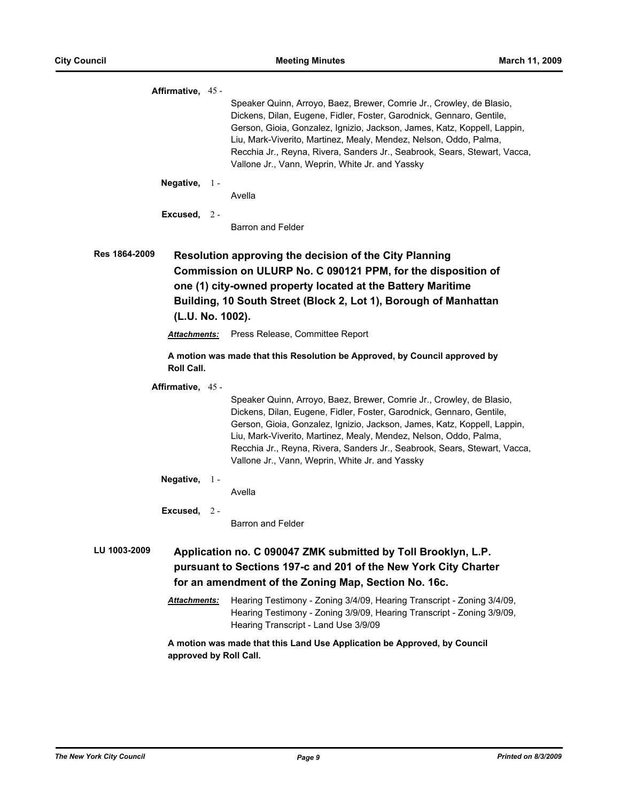| Affirmative, 45 -                 |               |                                                                                                                                                                                                                                                                                                                                                                                                                               |
|-----------------------------------|---------------|-------------------------------------------------------------------------------------------------------------------------------------------------------------------------------------------------------------------------------------------------------------------------------------------------------------------------------------------------------------------------------------------------------------------------------|
|                                   |               | Speaker Quinn, Arroyo, Baez, Brewer, Comrie Jr., Crowley, de Blasio,<br>Dickens, Dilan, Eugene, Fidler, Foster, Garodnick, Gennaro, Gentile,<br>Gerson, Gioia, Gonzalez, Ignizio, Jackson, James, Katz, Koppell, Lappin,<br>Liu, Mark-Viverito, Martinez, Mealy, Mendez, Nelson, Oddo, Palma,<br>Recchia Jr., Reyna, Rivera, Sanders Jr., Seabrook, Sears, Stewart, Vacca,<br>Vallone Jr., Vann, Weprin, White Jr. and Yassky |
| Negative, $1 -$                   |               | Avella                                                                                                                                                                                                                                                                                                                                                                                                                        |
| Excused, $2 -$                    |               | Barron and Felder                                                                                                                                                                                                                                                                                                                                                                                                             |
| Res 1864-2009<br>(L.U. No. 1002). |               | <b>Resolution approving the decision of the City Planning</b><br>Commission on ULURP No. C 090121 PPM, for the disposition of<br>one (1) city-owned property located at the Battery Maritime<br>Building, 10 South Street (Block 2, Lot 1), Borough of Manhattan                                                                                                                                                              |
| <b>Attachments:</b>               |               | Press Release, Committee Report                                                                                                                                                                                                                                                                                                                                                                                               |
| Roll Call.                        |               | A motion was made that this Resolution be Approved, by Council approved by                                                                                                                                                                                                                                                                                                                                                    |
| Affirmative, 45 -                 |               | Speaker Quinn, Arroyo, Baez, Brewer, Comrie Jr., Crowley, de Blasio,<br>Dickens, Dilan, Eugene, Fidler, Foster, Garodnick, Gennaro, Gentile,<br>Gerson, Gioia, Gonzalez, Ignizio, Jackson, James, Katz, Koppell, Lappin,<br>Liu, Mark-Viverito, Martinez, Mealy, Mendez, Nelson, Oddo, Palma,<br>Recchia Jr., Reyna, Rivera, Sanders Jr., Seabrook, Sears, Stewart, Vacca,<br>Vallone Jr., Vann, Weprin, White Jr. and Yassky |
| Negative,                         | $\frac{1}{2}$ | Avella                                                                                                                                                                                                                                                                                                                                                                                                                        |
| Excused, $2 -$                    |               | Barron and Felder                                                                                                                                                                                                                                                                                                                                                                                                             |
| LU 1003-2009                      |               | Application no. C 090047 ZMK submitted by Toll Brooklyn, L.P.<br>pursuant to Sections 197-c and 201 of the New York City Charter                                                                                                                                                                                                                                                                                              |
|                                   |               | for an amendment of the Zoning Map, Section No. 16c.                                                                                                                                                                                                                                                                                                                                                                          |
| Attachments:                      |               | Hearing Testimony - Zoning 3/4/09, Hearing Transcript - Zoning 3/4/09,<br>Hearing Testimony - Zoning 3/9/09, Hearing Transcript - Zoning 3/9/09,<br>Hearing Transcript - Land Use 3/9/09                                                                                                                                                                                                                                      |
|                                   |               |                                                                                                                                                                                                                                                                                                                                                                                                                               |

**A motion was made that this Land Use Application be Approved, by Council approved by Roll Call.**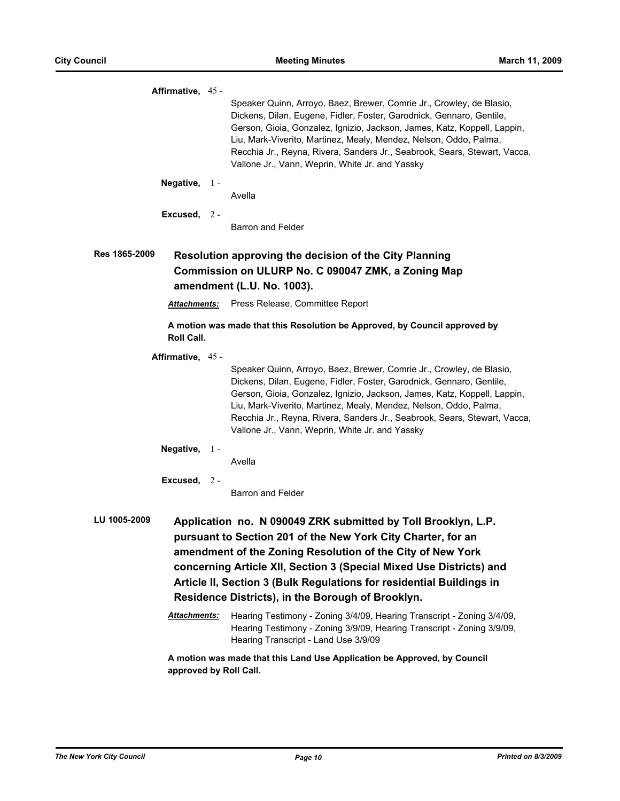| Affirmative, 45 -                   |       |                                                                                                                                                                                                                                                                                                                                                                                                                                                                                                                                                                                             |
|-------------------------------------|-------|---------------------------------------------------------------------------------------------------------------------------------------------------------------------------------------------------------------------------------------------------------------------------------------------------------------------------------------------------------------------------------------------------------------------------------------------------------------------------------------------------------------------------------------------------------------------------------------------|
|                                     |       | Speaker Quinn, Arroyo, Baez, Brewer, Comrie Jr., Crowley, de Blasio,<br>Dickens, Dilan, Eugene, Fidler, Foster, Garodnick, Gennaro, Gentile,<br>Gerson, Gioia, Gonzalez, Ignizio, Jackson, James, Katz, Koppell, Lappin,<br>Liu, Mark-Viverito, Martinez, Mealy, Mendez, Nelson, Oddo, Palma,<br>Recchia Jr., Reyna, Rivera, Sanders Jr., Seabrook, Sears, Stewart, Vacca,<br>Vallone Jr., Vann, Weprin, White Jr. and Yassky                                                                                                                                                               |
| Negative, $1 -$                     |       | Avella                                                                                                                                                                                                                                                                                                                                                                                                                                                                                                                                                                                      |
| Excused, 2 -                        |       | Barron and Felder                                                                                                                                                                                                                                                                                                                                                                                                                                                                                                                                                                           |
| Res 1865-2009                       |       | <b>Resolution approving the decision of the City Planning</b><br>Commission on ULURP No. C 090047 ZMK, a Zoning Map<br>amendment (L.U. No. 1003).                                                                                                                                                                                                                                                                                                                                                                                                                                           |
| <b>Attachments:</b>                 |       | Press Release, Committee Report                                                                                                                                                                                                                                                                                                                                                                                                                                                                                                                                                             |
| <b>Roll Call.</b>                   |       | A motion was made that this Resolution be Approved, by Council approved by                                                                                                                                                                                                                                                                                                                                                                                                                                                                                                                  |
| Affirmative, 45 -                   |       | Speaker Quinn, Arroyo, Baez, Brewer, Comrie Jr., Crowley, de Blasio,<br>Dickens, Dilan, Eugene, Fidler, Foster, Garodnick, Gennaro, Gentile,<br>Gerson, Gioia, Gonzalez, Ignizio, Jackson, James, Katz, Koppell, Lappin,<br>Liu, Mark-Viverito, Martinez, Mealy, Mendez, Nelson, Oddo, Palma,<br>Recchia Jr., Reyna, Rivera, Sanders Jr., Seabrook, Sears, Stewart, Vacca,<br>Vallone Jr., Vann, Weprin, White Jr. and Yassky                                                                                                                                                               |
| Negative,                           | $1 -$ | Avella                                                                                                                                                                                                                                                                                                                                                                                                                                                                                                                                                                                      |
| Excused, $2 -$                      |       | <b>Barron and Felder</b>                                                                                                                                                                                                                                                                                                                                                                                                                                                                                                                                                                    |
| LU 1005-2009<br><b>Attachments:</b> |       | Application no. N 090049 ZRK submitted by Toll Brooklyn, L.P.<br>pursuant to Section 201 of the New York City Charter, for an<br>amendment of the Zoning Resolution of the City of New York<br>concerning Article XII, Section 3 (Special Mixed Use Districts) and<br>Article II, Section 3 (Bulk Regulations for residential Buildings in<br>Residence Districts), in the Borough of Brooklyn.<br>Hearing Testimony - Zoning 3/4/09, Hearing Transcript - Zoning 3/4/09,<br>Hearing Testimony - Zoning 3/9/09, Hearing Transcript - Zoning 3/9/09,<br>Hearing Transcript - Land Use 3/9/09 |
|                                     |       | A motion was made that this Land Use Application be Approved, by Council<br>approved by Roll Call.                                                                                                                                                                                                                                                                                                                                                                                                                                                                                          |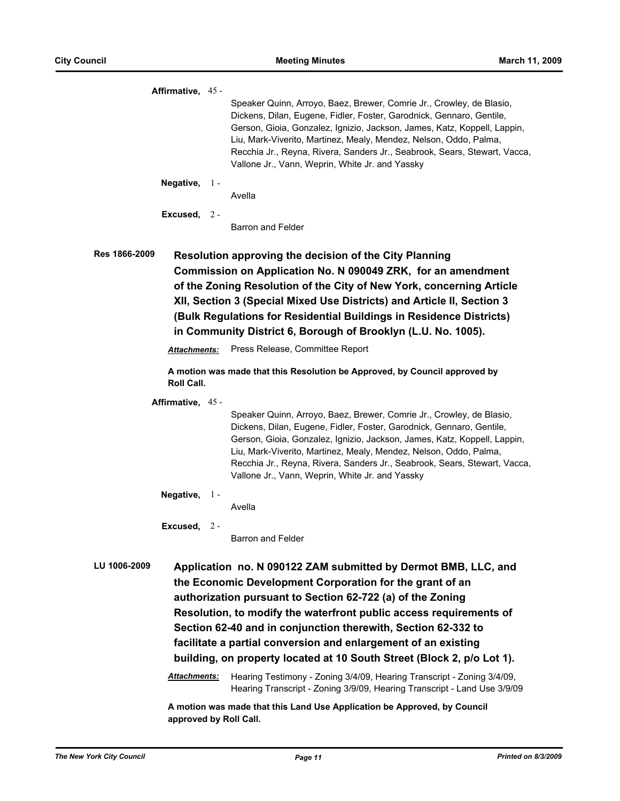|               | Affirmative, 45 -   |       |                                                                                                                                                                                                                                                                                                                                                                                                                                                                                                                                                       |
|---------------|---------------------|-------|-------------------------------------------------------------------------------------------------------------------------------------------------------------------------------------------------------------------------------------------------------------------------------------------------------------------------------------------------------------------------------------------------------------------------------------------------------------------------------------------------------------------------------------------------------|
|               |                     |       | Speaker Quinn, Arroyo, Baez, Brewer, Comrie Jr., Crowley, de Blasio,<br>Dickens, Dilan, Eugene, Fidler, Foster, Garodnick, Gennaro, Gentile,<br>Gerson, Gioia, Gonzalez, Ignizio, Jackson, James, Katz, Koppell, Lappin,<br>Liu, Mark-Viverito, Martinez, Mealy, Mendez, Nelson, Oddo, Palma,<br>Recchia Jr., Reyna, Rivera, Sanders Jr., Seabrook, Sears, Stewart, Vacca,<br>Vallone Jr., Vann, Weprin, White Jr. and Yassky                                                                                                                         |
|               | Negative, $1 -$     |       | Avella                                                                                                                                                                                                                                                                                                                                                                                                                                                                                                                                                |
|               | Excused, 2 -        |       | <b>Barron and Felder</b>                                                                                                                                                                                                                                                                                                                                                                                                                                                                                                                              |
| Res 1866-2009 |                     |       | <b>Resolution approving the decision of the City Planning</b><br>Commission on Application No. N 090049 ZRK, for an amendment<br>of the Zoning Resolution of the City of New York, concerning Article<br>XII, Section 3 (Special Mixed Use Districts) and Article II, Section 3<br>(Bulk Regulations for Residential Buildings in Residence Districts)<br>in Community District 6, Borough of Brooklyn (L.U. No. 1005).                                                                                                                               |
|               | <b>Attachments:</b> |       | Press Release, Committee Report                                                                                                                                                                                                                                                                                                                                                                                                                                                                                                                       |
|               | Roll Call.          |       | A motion was made that this Resolution be Approved, by Council approved by                                                                                                                                                                                                                                                                                                                                                                                                                                                                            |
|               | Affirmative, 45 -   |       |                                                                                                                                                                                                                                                                                                                                                                                                                                                                                                                                                       |
|               |                     |       | Speaker Quinn, Arroyo, Baez, Brewer, Comrie Jr., Crowley, de Blasio,<br>Dickens, Dilan, Eugene, Fidler, Foster, Garodnick, Gennaro, Gentile,<br>Gerson, Gioia, Gonzalez, Ignizio, Jackson, James, Katz, Koppell, Lappin,<br>Liu, Mark-Viverito, Martinez, Mealy, Mendez, Nelson, Oddo, Palma,<br>Recchia Jr., Reyna, Rivera, Sanders Jr., Seabrook, Sears, Stewart, Vacca,<br>Vallone Jr., Vann, Weprin, White Jr. and Yassky                                                                                                                         |
|               | Negative,           | $1 -$ | Avella                                                                                                                                                                                                                                                                                                                                                                                                                                                                                                                                                |
|               | Excused,            | $2 -$ | Barron and Felder                                                                                                                                                                                                                                                                                                                                                                                                                                                                                                                                     |
| LU 1006-2009  |                     |       | Application no. N 090122 ZAM submitted by Dermot BMB, LLC, and<br>the Economic Development Corporation for the grant of an<br>authorization pursuant to Section 62-722 (a) of the Zoning<br>Resolution, to modify the waterfront public access requirements of<br>Section 62-40 and in conjunction therewith, Section 62-332 to<br>facilitate a partial conversion and enlargement of an existing<br>building, on property located at 10 South Street (Block 2, p/o Lot 1).<br>Hearing Testimony - Zoning 3/4/09, Hearing Transcript - Zoning 3/4/09, |

Hearing Transcript - Zoning 3/9/09, Hearing Transcript - Land Use 3/9/09

**A motion was made that this Land Use Application be Approved, by Council approved by Roll Call.**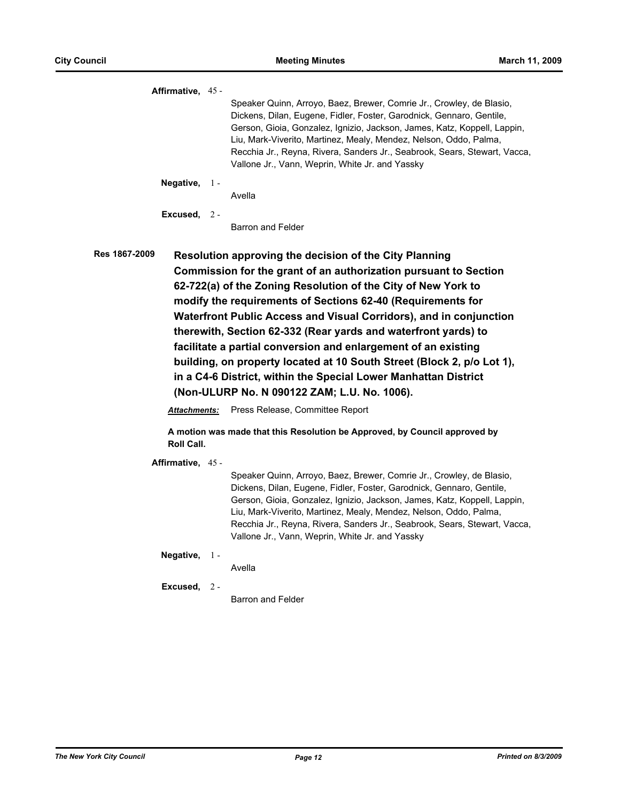| Affirmative, 45 -   |               |                                                                                                                                                                                                                                                                                                                                                                                                                                                                                                                                                                                                                                                                          |
|---------------------|---------------|--------------------------------------------------------------------------------------------------------------------------------------------------------------------------------------------------------------------------------------------------------------------------------------------------------------------------------------------------------------------------------------------------------------------------------------------------------------------------------------------------------------------------------------------------------------------------------------------------------------------------------------------------------------------------|
|                     |               | Speaker Quinn, Arroyo, Baez, Brewer, Comrie Jr., Crowley, de Blasio,<br>Dickens, Dilan, Eugene, Fidler, Foster, Garodnick, Gennaro, Gentile,<br>Gerson, Gioia, Gonzalez, Ignizio, Jackson, James, Katz, Koppell, Lappin,<br>Liu, Mark-Viverito, Martinez, Mealy, Mendez, Nelson, Oddo, Palma,<br>Recchia Jr., Reyna, Rivera, Sanders Jr., Seabrook, Sears, Stewart, Vacca,<br>Vallone Jr., Vann, Weprin, White Jr. and Yassky                                                                                                                                                                                                                                            |
| Negative, $1 -$     |               | Avella                                                                                                                                                                                                                                                                                                                                                                                                                                                                                                                                                                                                                                                                   |
| Excused, $2-$       |               | Barron and Felder                                                                                                                                                                                                                                                                                                                                                                                                                                                                                                                                                                                                                                                        |
| Res 1867-2009       |               | <b>Resolution approving the decision of the City Planning</b><br>Commission for the grant of an authorization pursuant to Section<br>62-722(a) of the Zoning Resolution of the City of New York to<br>modify the requirements of Sections 62-40 (Requirements for<br>Waterfront Public Access and Visual Corridors), and in conjunction<br>therewith, Section 62-332 (Rear yards and waterfront yards) to<br>facilitate a partial conversion and enlargement of an existing<br>building, on property located at 10 South Street (Block 2, p/o Lot 1),<br>in a C4-6 District, within the Special Lower Manhattan District<br>(Non-ULURP No. N 090122 ZAM; L.U. No. 1006). |
| <b>Attachments:</b> |               | Press Release, Committee Report                                                                                                                                                                                                                                                                                                                                                                                                                                                                                                                                                                                                                                          |
| Roll Call.          |               | A motion was made that this Resolution be Approved, by Council approved by                                                                                                                                                                                                                                                                                                                                                                                                                                                                                                                                                                                               |
| Affirmative, 45 -   |               | Speaker Quinn, Arroyo, Baez, Brewer, Comrie Jr., Crowley, de Blasio,<br>Dickens, Dilan, Eugene, Fidler, Foster, Garodnick, Gennaro, Gentile,<br>Gerson, Gioia, Gonzalez, Ignizio, Jackson, James, Katz, Koppell, Lappin,<br>Liu, Mark-Viverito, Martinez, Mealy, Mendez, Nelson, Oddo, Palma,<br>Recchia Jr., Reyna, Rivera, Sanders Jr., Seabrook, Sears, Stewart, Vacca,<br>Vallone Jr., Vann, Weprin, White Jr. and Yassky                                                                                                                                                                                                                                            |
| Negative,           | $\frac{1}{2}$ | Avella                                                                                                                                                                                                                                                                                                                                                                                                                                                                                                                                                                                                                                                                   |
| Excused, $2 -$      |               | Barron and Felder                                                                                                                                                                                                                                                                                                                                                                                                                                                                                                                                                                                                                                                        |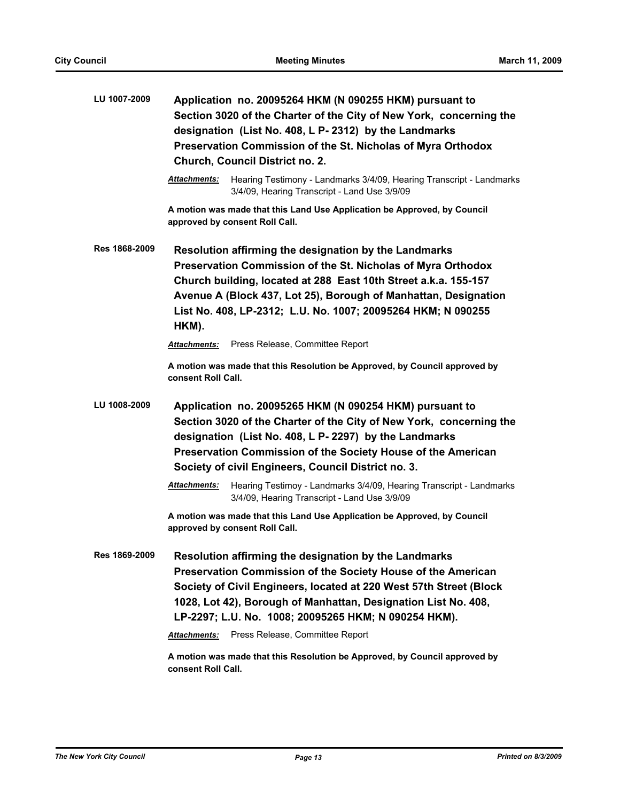| LU 1007-2009  | Application no. 20095264 HKM (N 090255 HKM) pursuant to<br>Section 3020 of the Charter of the City of New York, concerning the<br>designation (List No. 408, L P- 2312) by the Landmarks<br>Preservation Commission of the St. Nicholas of Myra Orthodox<br>Church, Council District no. 2.                                          |  |
|---------------|--------------------------------------------------------------------------------------------------------------------------------------------------------------------------------------------------------------------------------------------------------------------------------------------------------------------------------------|--|
|               | Attachments:<br>Hearing Testimony - Landmarks 3/4/09, Hearing Transcript - Landmarks<br>3/4/09, Hearing Transcript - Land Use 3/9/09                                                                                                                                                                                                 |  |
|               | A motion was made that this Land Use Application be Approved, by Council<br>approved by consent Roll Call.                                                                                                                                                                                                                           |  |
| Res 1868-2009 | Resolution affirming the designation by the Landmarks<br>Preservation Commission of the St. Nicholas of Myra Orthodox<br>Church building, located at 288 East 10th Street a.k.a. 155-157<br>Avenue A (Block 437, Lot 25), Borough of Manhattan, Designation<br>List No. 408, LP-2312; L.U. No. 1007; 20095264 HKM; N 090255<br>HKM). |  |
|               | Press Release, Committee Report<br><b>Attachments:</b>                                                                                                                                                                                                                                                                               |  |
|               | A motion was made that this Resolution be Approved, by Council approved by<br>consent Roll Call.                                                                                                                                                                                                                                     |  |
| LU 1008-2009  | Application no. 20095265 HKM (N 090254 HKM) pursuant to<br>Section 3020 of the Charter of the City of New York, concerning the<br>designation (List No. 408, L P- 2297) by the Landmarks<br>Preservation Commission of the Society House of the American<br>Society of civil Engineers, Council District no. 3.                      |  |
|               | Attachments:<br>Hearing Testimoy - Landmarks 3/4/09, Hearing Transcript - Landmarks<br>3/4/09, Hearing Transcript - Land Use 3/9/09                                                                                                                                                                                                  |  |
|               | A motion was made that this Land Use Application be Approved, by Council<br>approved by consent Roll Call.                                                                                                                                                                                                                           |  |
| Res 1869-2009 | Resolution affirming the designation by the Landmarks<br>Preservation Commission of the Society House of the American<br>Society of Civil Engineers, located at 220 West 57th Street (Block<br>1028, Lot 42), Borough of Manhattan, Designation List No. 408,<br>LP-2297; L.U. No. 1008; 20095265 HKM; N 090254 HKM).                |  |
|               | Press Release, Committee Report<br>Attachments:                                                                                                                                                                                                                                                                                      |  |
|               | A motion was made that this Resolution be Approved, by Council approved by<br>consent Roll Call.                                                                                                                                                                                                                                     |  |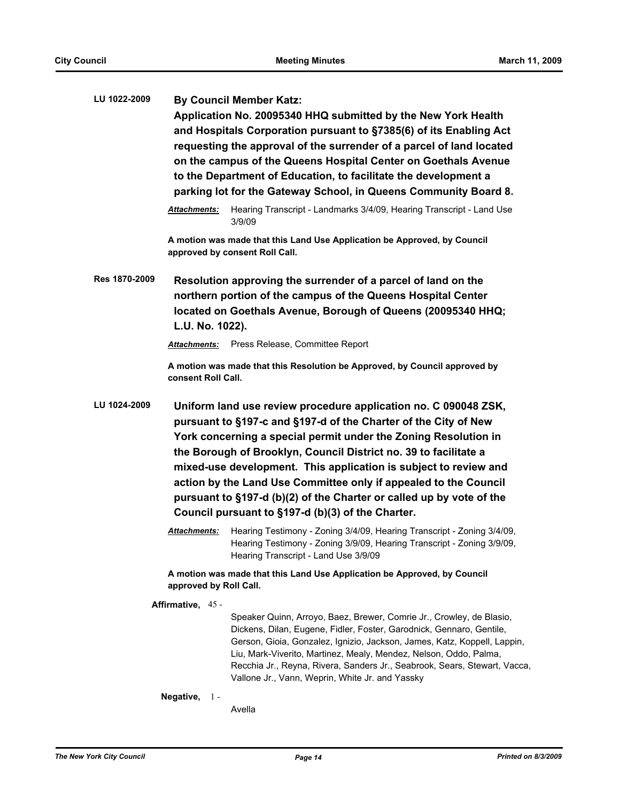**LU 1022-2009 By Council Member Katz: Application No. 20095340 HHQ submitted by the New York Health and Hospitals Corporation pursuant to §7385(6) of its Enabling Act requesting the approval of the surrender of a parcel of land located on the campus of the Queens Hospital Center on Goethals Avenue to the Department of Education, to facilitate the development a parking lot for the Gateway School, in Queens Community Board 8.** *Attachments:* Hearing Transcript - Landmarks 3/4/09, Hearing Transcript - Land Use 3/9/09 **A motion was made that this Land Use Application be Approved, by Council approved by consent Roll Call. Res 1870-2009 Resolution approving the surrender of a parcel of land on the northern portion of the campus of the Queens Hospital Center located on Goethals Avenue, Borough of Queens (20095340 HHQ; L.U. No. 1022).** *Attachments:* Press Release, Committee Report **A motion was made that this Resolution be Approved, by Council approved by consent Roll Call. LU 1024-2009 Uniform land use review procedure application no. C 090048 ZSK, pursuant to §197-c and §197-d of the Charter of the City of New** 

**York concerning a special permit under the Zoning Resolution in the Borough of Brooklyn, Council District no. 39 to facilitate a mixed-use development. This application is subject to review and action by the Land Use Committee only if appealed to the Council pursuant to §197-d (b)(2) of the Charter or called up by vote of the Council pursuant to §197-d (b)(3) of the Charter.**

> *Attachments:* Hearing Testimony - Zoning 3/4/09, Hearing Transcript - Zoning 3/4/09, Hearing Testimony - Zoning 3/9/09, Hearing Transcript - Zoning 3/9/09, Hearing Transcript - Land Use 3/9/09

**A motion was made that this Land Use Application be Approved, by Council approved by Roll Call.**

**Affirmative,** 45 -

Speaker Quinn, Arroyo, Baez, Brewer, Comrie Jr., Crowley, de Blasio, Dickens, Dilan, Eugene, Fidler, Foster, Garodnick, Gennaro, Gentile, Gerson, Gioia, Gonzalez, Ignizio, Jackson, James, Katz, Koppell, Lappin, Liu, Mark-Viverito, Martinez, Mealy, Mendez, Nelson, Oddo, Palma, Recchia Jr., Reyna, Rivera, Sanders Jr., Seabrook, Sears, Stewart, Vacca, Vallone Jr., Vann, Weprin, White Jr. and Yassky

**Negative,** 1 -

Avella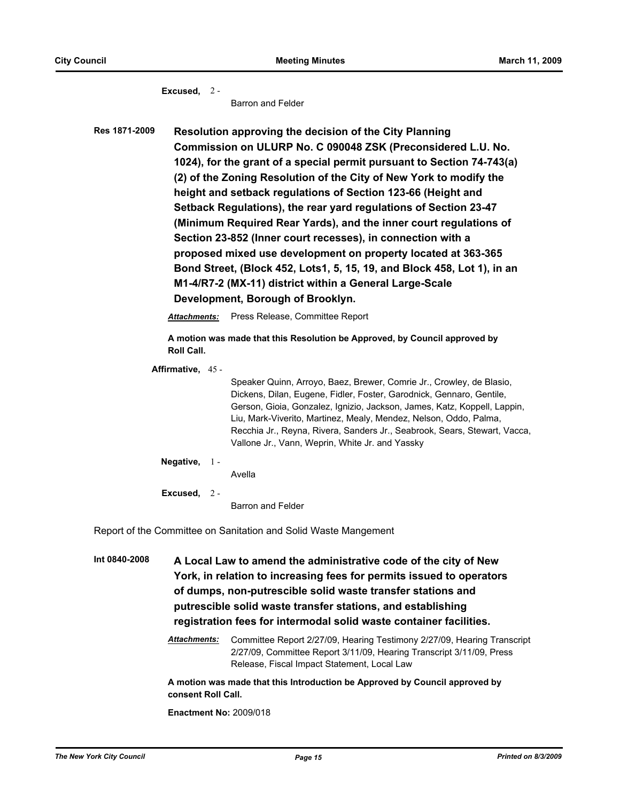**Excused,** 2 -

Barron and Felder

**Res 1871-2009 Resolution approving the decision of the City Planning Commission on ULURP No. C 090048 ZSK (Preconsidered L.U. No. 1024), for the grant of a special permit pursuant to Section 74-743(a) (2) of the Zoning Resolution of the City of New York to modify the height and setback regulations of Section 123-66 (Height and Setback Regulations), the rear yard regulations of Section 23-47 (Minimum Required Rear Yards), and the inner court regulations of Section 23-852 (Inner court recesses), in connection with a proposed mixed use development on property located at 363-365 Bond Street, (Block 452, Lots1, 5, 15, 19, and Block 458, Lot 1), in an M1-4/R7-2 (MX-11) district within a General Large-Scale Development, Borough of Brooklyn.**

*Attachments:* Press Release, Committee Report

**A motion was made that this Resolution be Approved, by Council approved by Roll Call.**

**Affirmative,** 45 -

Speaker Quinn, Arroyo, Baez, Brewer, Comrie Jr., Crowley, de Blasio, Dickens, Dilan, Eugene, Fidler, Foster, Garodnick, Gennaro, Gentile, Gerson, Gioia, Gonzalez, Ignizio, Jackson, James, Katz, Koppell, Lappin, Liu, Mark-Viverito, Martinez, Mealy, Mendez, Nelson, Oddo, Palma, Recchia Jr., Reyna, Rivera, Sanders Jr., Seabrook, Sears, Stewart, Vacca, Vallone Jr., Vann, Weprin, White Jr. and Yassky

**Negative,** 1 -

Avella

**Excused,** 2 -

Barron and Felder

Report of the Committee on Sanitation and Solid Waste Mangement

**Int 0840-2008 A Local Law to amend the administrative code of the city of New York, in relation to increasing fees for permits issued to operators of dumps, non-putrescible solid waste transfer stations and putrescible solid waste transfer stations, and establishing registration fees for intermodal solid waste container facilities.**

> *Attachments:* Committee Report 2/27/09, Hearing Testimony 2/27/09, Hearing Transcript 2/27/09, Committee Report 3/11/09, Hearing Transcript 3/11/09, Press Release, Fiscal Impact Statement, Local Law

**A motion was made that this Introduction be Approved by Council approved by consent Roll Call.**

**Enactment No:** 2009/018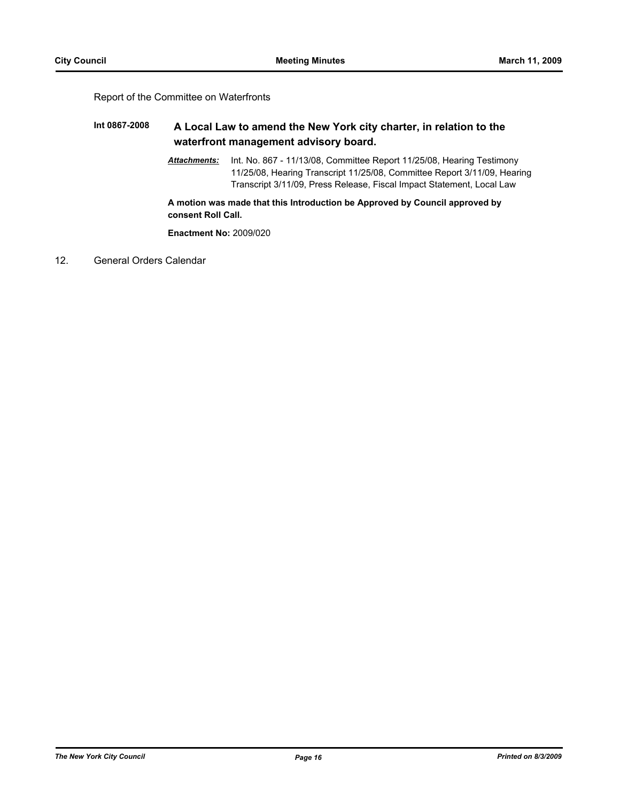#### Report of the Committee on Waterfronts

# **Int 0867-2008 A Local Law to amend the New York city charter, in relation to the waterfront management advisory board.**

*Attachments:* Int. No. 867 - 11/13/08, Committee Report 11/25/08, Hearing Testimony 11/25/08, Hearing Transcript 11/25/08, Committee Report 3/11/09, Hearing Transcript 3/11/09, Press Release, Fiscal Impact Statement, Local Law

**A motion was made that this Introduction be Approved by Council approved by consent Roll Call.**

**Enactment No:** 2009/020

12. General Orders Calendar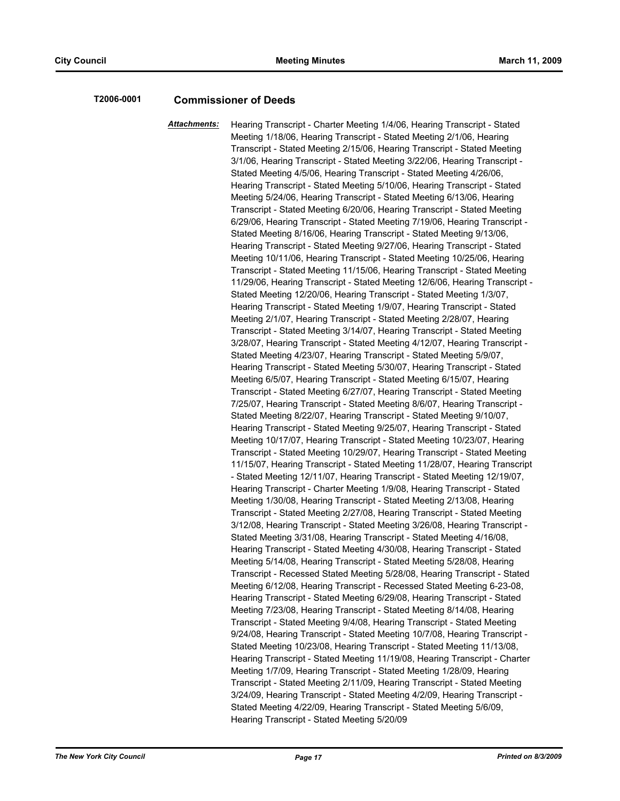## **T2006-0001 Commissioner of Deeds**

*Attachments:* Hearing Transcript - Charter Meeting 1/4/06, Hearing Transcript - Stated Meeting 1/18/06, Hearing Transcript - Stated Meeting 2/1/06, Hearing Transcript - Stated Meeting 2/15/06, Hearing Transcript - Stated Meeting 3/1/06, Hearing Transcript - Stated Meeting 3/22/06, Hearing Transcript - Stated Meeting 4/5/06, Hearing Transcript - Stated Meeting 4/26/06, Hearing Transcript - Stated Meeting 5/10/06, Hearing Transcript - Stated Meeting 5/24/06, Hearing Transcript - Stated Meeting 6/13/06, Hearing Transcript - Stated Meeting 6/20/06, Hearing Transcript - Stated Meeting 6/29/06, Hearing Transcript - Stated Meeting 7/19/06, Hearing Transcript - Stated Meeting 8/16/06, Hearing Transcript - Stated Meeting 9/13/06, Hearing Transcript - Stated Meeting 9/27/06, Hearing Transcript - Stated Meeting 10/11/06, Hearing Transcript - Stated Meeting 10/25/06, Hearing Transcript - Stated Meeting 11/15/06, Hearing Transcript - Stated Meeting 11/29/06, Hearing Transcript - Stated Meeting 12/6/06, Hearing Transcript - Stated Meeting 12/20/06, Hearing Transcript - Stated Meeting 1/3/07, Hearing Transcript - Stated Meeting 1/9/07, Hearing Transcript - Stated Meeting 2/1/07, Hearing Transcript - Stated Meeting 2/28/07, Hearing Transcript - Stated Meeting 3/14/07, Hearing Transcript - Stated Meeting 3/28/07, Hearing Transcript - Stated Meeting 4/12/07, Hearing Transcript - Stated Meeting 4/23/07, Hearing Transcript - Stated Meeting 5/9/07, Hearing Transcript - Stated Meeting 5/30/07, Hearing Transcript - Stated Meeting 6/5/07, Hearing Transcript - Stated Meeting 6/15/07, Hearing Transcript - Stated Meeting 6/27/07, Hearing Transcript - Stated Meeting 7/25/07, Hearing Transcript - Stated Meeting 8/6/07, Hearing Transcript - Stated Meeting 8/22/07, Hearing Transcript - Stated Meeting 9/10/07, Hearing Transcript - Stated Meeting 9/25/07, Hearing Transcript - Stated Meeting 10/17/07, Hearing Transcript - Stated Meeting 10/23/07, Hearing Transcript - Stated Meeting 10/29/07, Hearing Transcript - Stated Meeting 11/15/07, Hearing Transcript - Stated Meeting 11/28/07, Hearing Transcript - Stated Meeting 12/11/07, Hearing Transcript - Stated Meeting 12/19/07, Hearing Transcript - Charter Meeting 1/9/08, Hearing Transcript - Stated Meeting 1/30/08, Hearing Transcript - Stated Meeting 2/13/08, Hearing Transcript - Stated Meeting 2/27/08, Hearing Transcript - Stated Meeting 3/12/08, Hearing Transcript - Stated Meeting 3/26/08, Hearing Transcript - Stated Meeting 3/31/08, Hearing Transcript - Stated Meeting 4/16/08, Hearing Transcript - Stated Meeting 4/30/08, Hearing Transcript - Stated Meeting 5/14/08, Hearing Transcript - Stated Meeting 5/28/08, Hearing Transcript - Recessed Stated Meeting 5/28/08, Hearing Transcript - Stated Meeting 6/12/08, Hearing Transcript - Recessed Stated Meeting 6-23-08, Hearing Transcript - Stated Meeting 6/29/08, Hearing Transcript - Stated Meeting 7/23/08, Hearing Transcript - Stated Meeting 8/14/08, Hearing Transcript - Stated Meeting 9/4/08, Hearing Transcript - Stated Meeting 9/24/08, Hearing Transcript - Stated Meeting 10/7/08, Hearing Transcript - Stated Meeting 10/23/08, Hearing Transcript - Stated Meeting 11/13/08, Hearing Transcript - Stated Meeting 11/19/08, Hearing Transcript - Charter Meeting 1/7/09, Hearing Transcript - Stated Meeting 1/28/09, Hearing Transcript - Stated Meeting 2/11/09, Hearing Transcript - Stated Meeting 3/24/09, Hearing Transcript - Stated Meeting 4/2/09, Hearing Transcript - Stated Meeting 4/22/09, Hearing Transcript - Stated Meeting 5/6/09, Hearing Transcript - Stated Meeting 5/20/09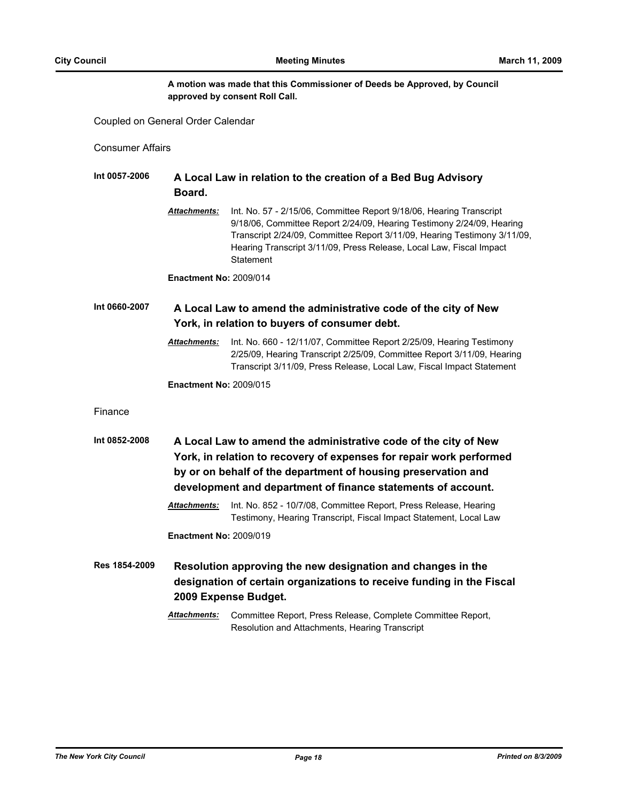## **A motion was made that this Commissioner of Deeds be Approved, by Council approved by consent Roll Call.**

Coupled on General Order Calendar

Consumer Affairs

| Int 0057-2006 | A Local Law in relation to the creation of a Bed Bug Advisory                                                                                                                                           |                                                                                                                                                                                                                                                                                                              |  |
|---------------|---------------------------------------------------------------------------------------------------------------------------------------------------------------------------------------------------------|--------------------------------------------------------------------------------------------------------------------------------------------------------------------------------------------------------------------------------------------------------------------------------------------------------------|--|
|               | Board.                                                                                                                                                                                                  |                                                                                                                                                                                                                                                                                                              |  |
|               | <b>Attachments:</b>                                                                                                                                                                                     | Int. No. 57 - 2/15/06, Committee Report 9/18/06, Hearing Transcript<br>9/18/06, Committee Report 2/24/09, Hearing Testimony 2/24/09, Hearing<br>Transcript 2/24/09, Committee Report 3/11/09, Hearing Testimony 3/11/09,<br>Hearing Transcript 3/11/09, Press Release, Local Law, Fiscal Impact<br>Statement |  |
|               | <b>Enactment No: 2009/014</b>                                                                                                                                                                           |                                                                                                                                                                                                                                                                                                              |  |
| Int 0660-2007 |                                                                                                                                                                                                         | A Local Law to amend the administrative code of the city of New<br>York, in relation to buyers of consumer debt.                                                                                                                                                                                             |  |
|               | <u> Attachments:</u>                                                                                                                                                                                    | Int. No. 660 - 12/11/07, Committee Report 2/25/09, Hearing Testimony<br>2/25/09, Hearing Transcript 2/25/09, Committee Report 3/11/09, Hearing<br>Transcript 3/11/09, Press Release, Local Law, Fiscal Impact Statement                                                                                      |  |
|               | <b>Enactment No: 2009/015</b>                                                                                                                                                                           |                                                                                                                                                                                                                                                                                                              |  |
| Finance       |                                                                                                                                                                                                         |                                                                                                                                                                                                                                                                                                              |  |
| Int 0852-2008 | A Local Law to amend the administrative code of the city of New<br>York, in relation to recovery of expenses for repair work performed<br>by or on behalf of the department of housing preservation and |                                                                                                                                                                                                                                                                                                              |  |
|               |                                                                                                                                                                                                         | development and department of finance statements of account.                                                                                                                                                                                                                                                 |  |
|               | Attachments:                                                                                                                                                                                            | Int. No. 852 - 10/7/08, Committee Report, Press Release, Hearing<br>Testimony, Hearing Transcript, Fiscal Impact Statement, Local Law                                                                                                                                                                        |  |
|               | <b>Enactment No: 2009/019</b>                                                                                                                                                                           |                                                                                                                                                                                                                                                                                                              |  |
| Res 1854-2009 |                                                                                                                                                                                                         | Resolution approving the new designation and changes in the<br>designation of certain organizations to receive funding in the Fiscal<br>2009 Expense Budget.                                                                                                                                                 |  |
|               | <b>Attachments:</b>                                                                                                                                                                                     | Committee Report, Press Release, Complete Committee Report,<br>Resolution and Attachments, Hearing Transcript                                                                                                                                                                                                |  |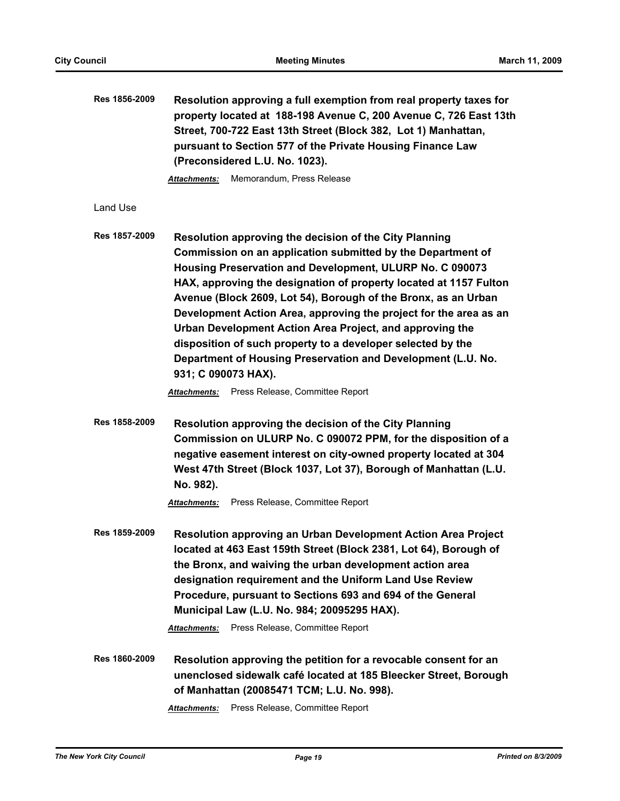| Res 1856-2009 | Resolution approving a full exemption from real property taxes for<br>property located at 188-198 Avenue C, 200 Avenue C, 726 East 13th<br>Street, 700-722 East 13th Street (Block 382, Lot 1) Manhattan,<br>pursuant to Section 577 of the Private Housing Finance Law<br>(Preconsidered L.U. No. 1023).<br>Memorandum, Press Release<br><b>Attachments:</b>                                                                                                                                                                                                                                                                                                             |
|---------------|---------------------------------------------------------------------------------------------------------------------------------------------------------------------------------------------------------------------------------------------------------------------------------------------------------------------------------------------------------------------------------------------------------------------------------------------------------------------------------------------------------------------------------------------------------------------------------------------------------------------------------------------------------------------------|
| Land Use      |                                                                                                                                                                                                                                                                                                                                                                                                                                                                                                                                                                                                                                                                           |
| Res 1857-2009 | Resolution approving the decision of the City Planning<br>Commission on an application submitted by the Department of<br>Housing Preservation and Development, ULURP No. C 090073<br>HAX, approving the designation of property located at 1157 Fulton<br>Avenue (Block 2609, Lot 54), Borough of the Bronx, as an Urban<br>Development Action Area, approving the project for the area as an<br>Urban Development Action Area Project, and approving the<br>disposition of such property to a developer selected by the<br>Department of Housing Preservation and Development (L.U. No.<br>931; C 090073 HAX).<br>Press Release, Committee Report<br><b>Attachments:</b> |
| Res 1858-2009 | Resolution approving the decision of the City Planning<br>Commission on ULURP No. C 090072 PPM, for the disposition of a<br>negative easement interest on city-owned property located at 304<br>West 47th Street (Block 1037, Lot 37), Borough of Manhattan (L.U.<br>No. 982).<br>Press Release, Committee Report<br><b>Attachments:</b>                                                                                                                                                                                                                                                                                                                                  |
| Res 1859-2009 | Resolution approving an Urban Development Action Area Project<br>located at 463 East 159th Street (Block 2381, Lot 64), Borough of<br>the Bronx, and waiving the urban development action area<br>designation requirement and the Uniform Land Use Review<br>Procedure, pursuant to Sections 693 and 694 of the General<br>Municipal Law (L.U. No. 984; 20095295 HAX).<br>Press Release, Committee Report<br><b>Attachments:</b>                                                                                                                                                                                                                                          |
| Res 1860-2009 | Resolution approving the petition for a revocable consent for an<br>unenclosed sidewalk café located at 185 Bleecker Street, Borough<br>of Manhattan (20085471 TCM; L.U. No. 998).<br>Press Release, Committee Report<br><b>Attachments:</b>                                                                                                                                                                                                                                                                                                                                                                                                                              |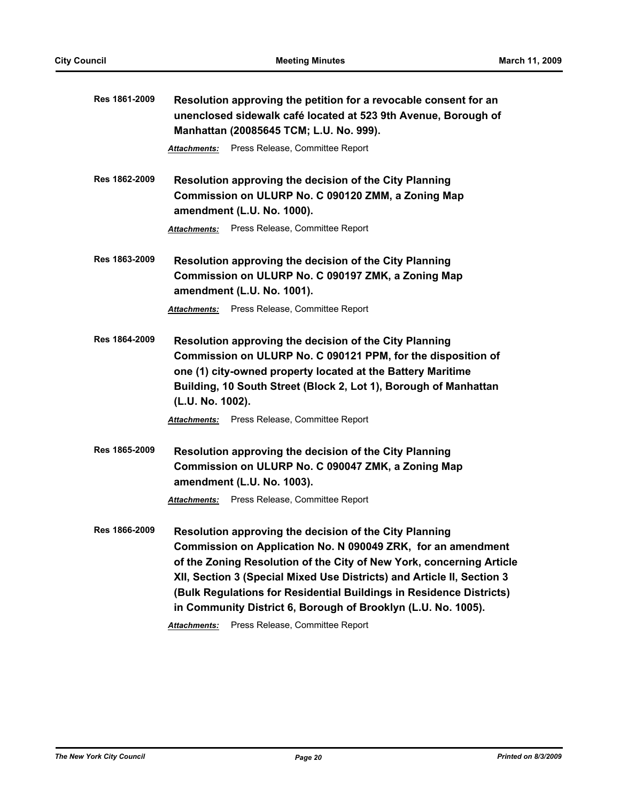| Res 1861-2009 | Resolution approving the petition for a revocable consent for an<br>unenclosed sidewalk café located at 523 9th Avenue, Borough of<br>Manhattan (20085645 TCM; L.U. No. 999).                                                                                                                                                                                                                                                                                       |  |
|---------------|---------------------------------------------------------------------------------------------------------------------------------------------------------------------------------------------------------------------------------------------------------------------------------------------------------------------------------------------------------------------------------------------------------------------------------------------------------------------|--|
|               | Attachments: Press Release, Committee Report                                                                                                                                                                                                                                                                                                                                                                                                                        |  |
| Res 1862-2009 | Resolution approving the decision of the City Planning<br>Commission on ULURP No. C 090120 ZMM, a Zoning Map<br>amendment (L.U. No. 1000).                                                                                                                                                                                                                                                                                                                          |  |
|               | Attachments: Press Release, Committee Report                                                                                                                                                                                                                                                                                                                                                                                                                        |  |
| Res 1863-2009 | Resolution approving the decision of the City Planning<br>Commission on ULURP No. C 090197 ZMK, a Zoning Map<br>amendment (L.U. No. 1001).                                                                                                                                                                                                                                                                                                                          |  |
|               | <b>Attachments:</b> Press Release, Committee Report                                                                                                                                                                                                                                                                                                                                                                                                                 |  |
| Res 1864-2009 | Resolution approving the decision of the City Planning<br>Commission on ULURP No. C 090121 PPM, for the disposition of<br>one (1) city-owned property located at the Battery Maritime<br>Building, 10 South Street (Block 2, Lot 1), Borough of Manhattan<br>(L.U. No. 1002).<br>Press Release, Committee Report<br>Attachments:                                                                                                                                    |  |
| Res 1865-2009 | Resolution approving the decision of the City Planning<br>Commission on ULURP No. C 090047 ZMK, a Zoning Map<br>amendment (L.U. No. 1003).<br><b>Attachments:</b> Press Release, Committee Report                                                                                                                                                                                                                                                                   |  |
| Res 1866-2009 | Resolution approving the decision of the City Planning<br>Commission on Application No. N 090049 ZRK, for an amendment<br>of the Zoning Resolution of the City of New York, concerning Article<br>XII, Section 3 (Special Mixed Use Districts) and Article II, Section 3<br>(Bulk Regulations for Residential Buildings in Residence Districts)<br>in Community District 6, Borough of Brooklyn (L.U. No. 1005).<br>Press Release, Committee Report<br>Attachments: |  |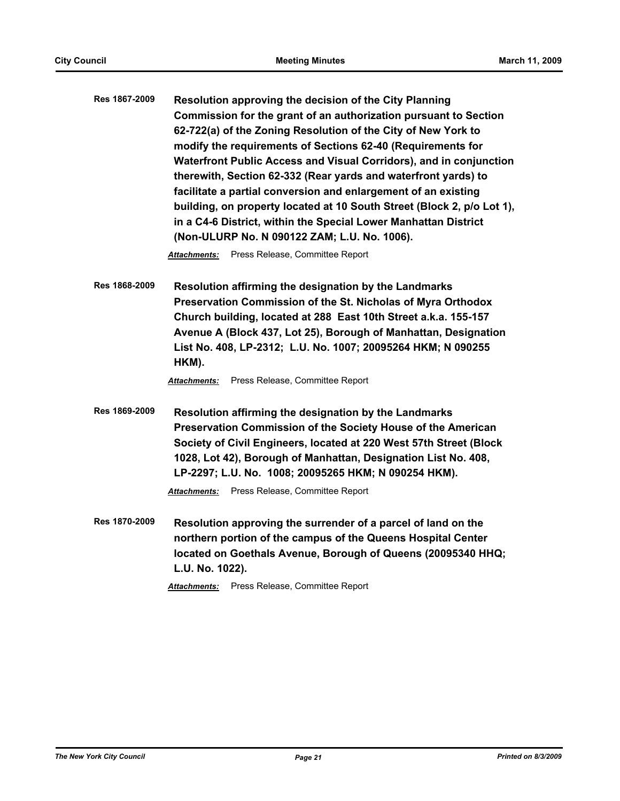**Res 1867-2009 Resolution approving the decision of the City Planning Commission for the grant of an authorization pursuant to Section 62-722(a) of the Zoning Resolution of the City of New York to modify the requirements of Sections 62-40 (Requirements for Waterfront Public Access and Visual Corridors), and in conjunction therewith, Section 62-332 (Rear yards and waterfront yards) to facilitate a partial conversion and enlargement of an existing building, on property located at 10 South Street (Block 2, p/o Lot 1), in a C4-6 District, within the Special Lower Manhattan District (Non-ULURP No. N 090122 ZAM; L.U. No. 1006).**

*Attachments:* Press Release, Committee Report

**Res 1868-2009 Resolution affirming the designation by the Landmarks Preservation Commission of the St. Nicholas of Myra Orthodox Church building, located at 288 East 10th Street a.k.a. 155-157 Avenue A (Block 437, Lot 25), Borough of Manhattan, Designation List No. 408, LP-2312; L.U. No. 1007; 20095264 HKM; N 090255 HKM).**

*Attachments:* Press Release, Committee Report

**Res 1869-2009 Resolution affirming the designation by the Landmarks Preservation Commission of the Society House of the American Society of Civil Engineers, located at 220 West 57th Street (Block 1028, Lot 42), Borough of Manhattan, Designation List No. 408, LP-2297; L.U. No. 1008; 20095265 HKM; N 090254 HKM).**

*Attachments:* Press Release, Committee Report

**Res 1870-2009 Resolution approving the surrender of a parcel of land on the northern portion of the campus of the Queens Hospital Center located on Goethals Avenue, Borough of Queens (20095340 HHQ; L.U. No. 1022).**

*Attachments:* Press Release, Committee Report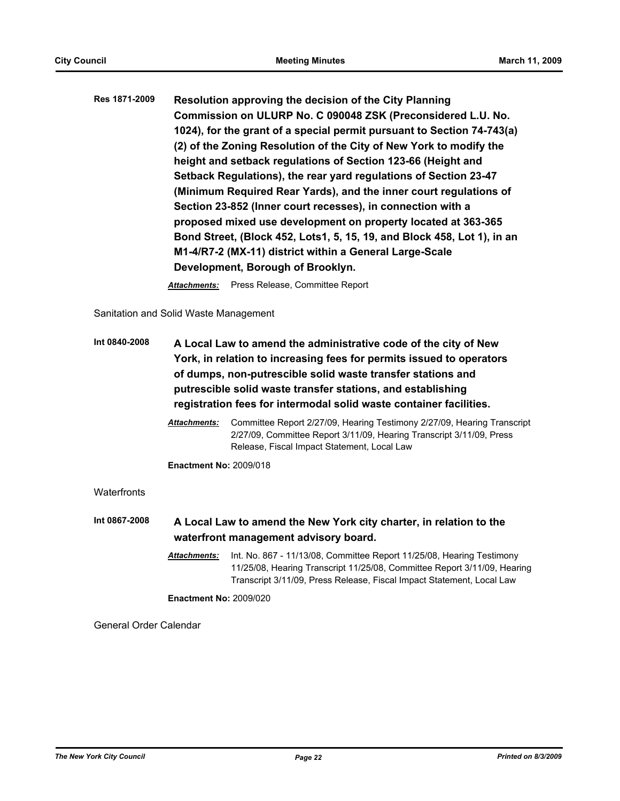| Res 1871-2009 | Resolution approving the decision of the City Planning                  |
|---------------|-------------------------------------------------------------------------|
|               | Commission on ULURP No. C 090048 ZSK (Preconsidered L.U. No.            |
|               | 1024), for the grant of a special permit pursuant to Section 74-743(a)  |
|               | (2) of the Zoning Resolution of the City of New York to modify the      |
|               | height and setback regulations of Section 123-66 (Height and            |
|               | Setback Regulations), the rear yard regulations of Section 23-47        |
|               | (Minimum Required Rear Yards), and the inner court regulations of       |
|               | Section 23-852 (Inner court recesses), in connection with a             |
|               | proposed mixed use development on property located at 363-365           |
|               | Bond Street, (Block 452, Lots1, 5, 15, 19, and Block 458, Lot 1), in an |
|               | M1-4/R7-2 (MX-11) district within a General Large-Scale                 |
|               | Development, Borough of Brooklyn.                                       |

*Attachments:* Press Release, Committee Report

Sanitation and Solid Waste Management

| Int 0840-2008 | A Local Law to amend the administrative code of the city of New<br>York, in relation to increasing fees for permits issued to operators<br>of dumps, non-putrescible solid waste transfer stations and<br>putrescible solid waste transfer stations, and establishing<br>registration fees for intermodal solid waste container facilities. |                                                                                                                                                                                                                            |
|---------------|---------------------------------------------------------------------------------------------------------------------------------------------------------------------------------------------------------------------------------------------------------------------------------------------------------------------------------------------|----------------------------------------------------------------------------------------------------------------------------------------------------------------------------------------------------------------------------|
|               | <b>Attachments:</b>                                                                                                                                                                                                                                                                                                                         | Committee Report 2/27/09, Hearing Testimony 2/27/09, Hearing Transcript<br>2/27/09, Committee Report 3/11/09, Hearing Transcript 3/11/09, Press<br>Release, Fiscal Impact Statement, Local Law                             |
|               | <b>Enactment No: 2009/018</b>                                                                                                                                                                                                                                                                                                               |                                                                                                                                                                                                                            |
| Waterfronts   |                                                                                                                                                                                                                                                                                                                                             |                                                                                                                                                                                                                            |
| Int 0867-2008 |                                                                                                                                                                                                                                                                                                                                             | A Local Law to amend the New York city charter, in relation to the<br>waterfront management advisory board.                                                                                                                |
|               | <b>Attachments:</b>                                                                                                                                                                                                                                                                                                                         | Int. No. 867 - 11/13/08, Committee Report 11/25/08, Hearing Testimony<br>11/25/08, Hearing Transcript 11/25/08, Committee Report 3/11/09, Hearing<br>Transcript 3/11/09, Press Release, Fiscal Impact Statement, Local Law |
|               | <b>Enactment No: 2009/020</b>                                                                                                                                                                                                                                                                                                               |                                                                                                                                                                                                                            |

General Order Calendar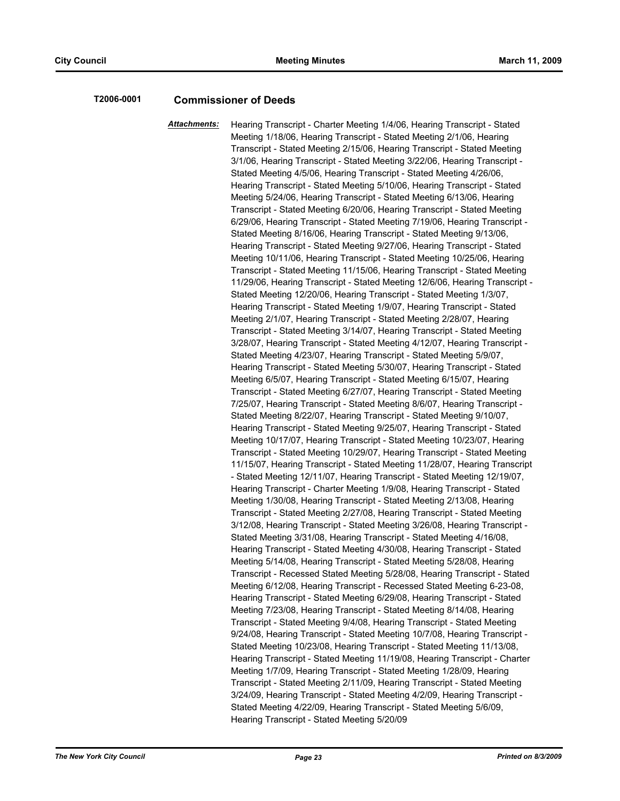# **T2006-0001 Commissioner of Deeds**

*Attachments:* Hearing Transcript - Charter Meeting 1/4/06, Hearing Transcript - Stated Meeting 1/18/06, Hearing Transcript - Stated Meeting 2/1/06, Hearing Transcript - Stated Meeting 2/15/06, Hearing Transcript - Stated Meeting 3/1/06, Hearing Transcript - Stated Meeting 3/22/06, Hearing Transcript - Stated Meeting 4/5/06, Hearing Transcript - Stated Meeting 4/26/06, Hearing Transcript - Stated Meeting 5/10/06, Hearing Transcript - Stated Meeting 5/24/06, Hearing Transcript - Stated Meeting 6/13/06, Hearing Transcript - Stated Meeting 6/20/06, Hearing Transcript - Stated Meeting 6/29/06, Hearing Transcript - Stated Meeting 7/19/06, Hearing Transcript - Stated Meeting 8/16/06, Hearing Transcript - Stated Meeting 9/13/06, Hearing Transcript - Stated Meeting 9/27/06, Hearing Transcript - Stated Meeting 10/11/06, Hearing Transcript - Stated Meeting 10/25/06, Hearing Transcript - Stated Meeting 11/15/06, Hearing Transcript - Stated Meeting 11/29/06, Hearing Transcript - Stated Meeting 12/6/06, Hearing Transcript - Stated Meeting 12/20/06, Hearing Transcript - Stated Meeting 1/3/07, Hearing Transcript - Stated Meeting 1/9/07, Hearing Transcript - Stated Meeting 2/1/07, Hearing Transcript - Stated Meeting 2/28/07, Hearing Transcript - Stated Meeting 3/14/07, Hearing Transcript - Stated Meeting 3/28/07, Hearing Transcript - Stated Meeting 4/12/07, Hearing Transcript - Stated Meeting 4/23/07, Hearing Transcript - Stated Meeting 5/9/07, Hearing Transcript - Stated Meeting 5/30/07, Hearing Transcript - Stated Meeting 6/5/07, Hearing Transcript - Stated Meeting 6/15/07, Hearing Transcript - Stated Meeting 6/27/07, Hearing Transcript - Stated Meeting 7/25/07, Hearing Transcript - Stated Meeting 8/6/07, Hearing Transcript - Stated Meeting 8/22/07, Hearing Transcript - Stated Meeting 9/10/07, Hearing Transcript - Stated Meeting 9/25/07, Hearing Transcript - Stated Meeting 10/17/07, Hearing Transcript - Stated Meeting 10/23/07, Hearing Transcript - Stated Meeting 10/29/07, Hearing Transcript - Stated Meeting 11/15/07, Hearing Transcript - Stated Meeting 11/28/07, Hearing Transcript - Stated Meeting 12/11/07, Hearing Transcript - Stated Meeting 12/19/07, Hearing Transcript - Charter Meeting 1/9/08, Hearing Transcript - Stated Meeting 1/30/08, Hearing Transcript - Stated Meeting 2/13/08, Hearing Transcript - Stated Meeting 2/27/08, Hearing Transcript - Stated Meeting 3/12/08, Hearing Transcript - Stated Meeting 3/26/08, Hearing Transcript - Stated Meeting 3/31/08, Hearing Transcript - Stated Meeting 4/16/08, Hearing Transcript - Stated Meeting 4/30/08, Hearing Transcript - Stated Meeting 5/14/08, Hearing Transcript - Stated Meeting 5/28/08, Hearing Transcript - Recessed Stated Meeting 5/28/08, Hearing Transcript - Stated Meeting 6/12/08, Hearing Transcript - Recessed Stated Meeting 6-23-08, Hearing Transcript - Stated Meeting 6/29/08, Hearing Transcript - Stated Meeting 7/23/08, Hearing Transcript - Stated Meeting 8/14/08, Hearing Transcript - Stated Meeting 9/4/08, Hearing Transcript - Stated Meeting 9/24/08, Hearing Transcript - Stated Meeting 10/7/08, Hearing Transcript - Stated Meeting 10/23/08, Hearing Transcript - Stated Meeting 11/13/08, Hearing Transcript - Stated Meeting 11/19/08, Hearing Transcript - Charter Meeting 1/7/09, Hearing Transcript - Stated Meeting 1/28/09, Hearing Transcript - Stated Meeting 2/11/09, Hearing Transcript - Stated Meeting 3/24/09, Hearing Transcript - Stated Meeting 4/2/09, Hearing Transcript - Stated Meeting 4/22/09, Hearing Transcript - Stated Meeting 5/6/09, Hearing Transcript - Stated Meeting 5/20/09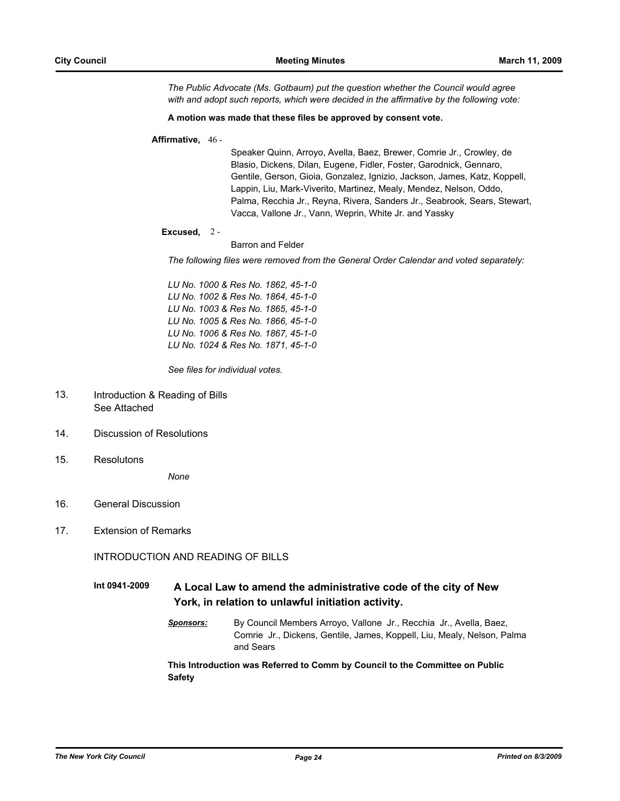*The Public Advocate (Ms. Gotbaum) put the question whether the Council would agree with and adopt such reports, which were decided in the affirmative by the following vote:*

#### **A motion was made that these files be approved by consent vote.**

#### **Affirmative,** 46 -

Speaker Quinn, Arroyo, Avella, Baez, Brewer, Comrie Jr., Crowley, de Blasio, Dickens, Dilan, Eugene, Fidler, Foster, Garodnick, Gennaro, Gentile, Gerson, Gioia, Gonzalez, Ignizio, Jackson, James, Katz, Koppell, Lappin, Liu, Mark-Viverito, Martinez, Mealy, Mendez, Nelson, Oddo, Palma, Recchia Jr., Reyna, Rivera, Sanders Jr., Seabrook, Sears, Stewart, Vacca, Vallone Jr., Vann, Weprin, White Jr. and Yassky

#### **Excused,** 2 -

Barron and Felder

*The following files were removed from the General Order Calendar and voted separately:*

*LU No. 1000 & Res No. 1862, 45-1-0 LU No. 1002 & Res No. 1864, 45-1-0 LU No. 1003 & Res No. 1865, 45-1-0 LU No. 1005 & Res No. 1866, 45-1-0 LU No. 1006 & Res No. 1867, 45-1-0 LU No. 1024 & Res No. 1871, 45-1-0*

*See files for individual votes.*

- Introduction & Reading of Bills See Attached 13.
- 14. Discussion of Resolutions
- 15. Resolutons

*None*

- 16. General Discussion
- 17. Extension of Remarks

INTRODUCTION AND READING OF BILLS

**Int 0941-2009 A Local Law to amend the administrative code of the city of New York, in relation to unlawful initiation activity.**

> *Sponsors:* By Council Members Arroyo, Vallone Jr., Recchia Jr., Avella, Baez, Comrie Jr., Dickens, Gentile, James, Koppell, Liu, Mealy, Nelson, Palma and Sears

#### **This Introduction was Referred to Comm by Council to the Committee on Public Safety**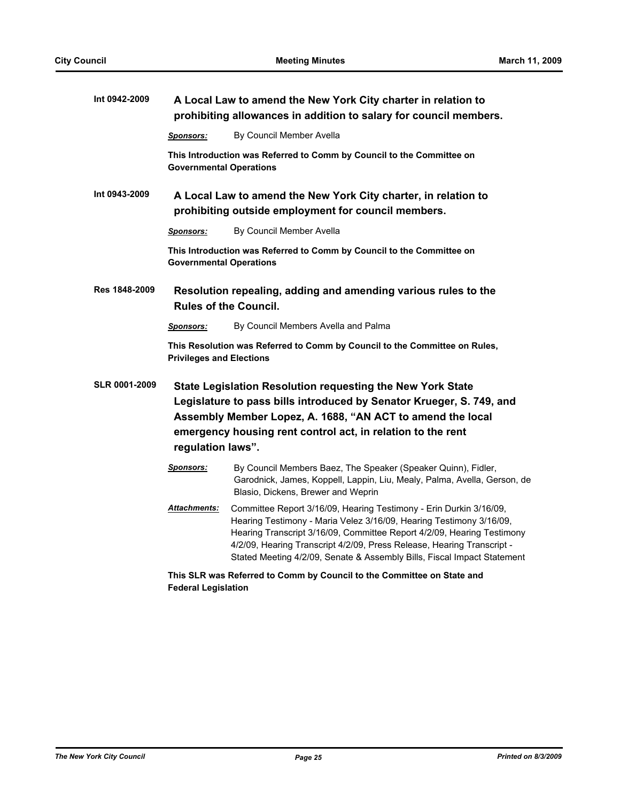| Int 0942-2009        |                                                                                                                                                                                                                                                                                      | A Local Law to amend the New York City charter in relation to<br>prohibiting allowances in addition to salary for council members.                                                                                                                                                                                                                                       |
|----------------------|--------------------------------------------------------------------------------------------------------------------------------------------------------------------------------------------------------------------------------------------------------------------------------------|--------------------------------------------------------------------------------------------------------------------------------------------------------------------------------------------------------------------------------------------------------------------------------------------------------------------------------------------------------------------------|
|                      | <b>Sponsors:</b>                                                                                                                                                                                                                                                                     | By Council Member Avella                                                                                                                                                                                                                                                                                                                                                 |
|                      | <b>Governmental Operations</b>                                                                                                                                                                                                                                                       | This Introduction was Referred to Comm by Council to the Committee on                                                                                                                                                                                                                                                                                                    |
| Int 0943-2009        |                                                                                                                                                                                                                                                                                      | A Local Law to amend the New York City charter, in relation to<br>prohibiting outside employment for council members.                                                                                                                                                                                                                                                    |
|                      | <u>Sponsors:</u>                                                                                                                                                                                                                                                                     | By Council Member Avella                                                                                                                                                                                                                                                                                                                                                 |
|                      | <b>Governmental Operations</b>                                                                                                                                                                                                                                                       | This Introduction was Referred to Comm by Council to the Committee on                                                                                                                                                                                                                                                                                                    |
| Res 1848-2009        |                                                                                                                                                                                                                                                                                      | Resolution repealing, adding and amending various rules to the<br><b>Rules of the Council.</b>                                                                                                                                                                                                                                                                           |
|                      | <b>Sponsors:</b>                                                                                                                                                                                                                                                                     | By Council Members Avella and Palma                                                                                                                                                                                                                                                                                                                                      |
|                      | <b>Privileges and Elections</b>                                                                                                                                                                                                                                                      | This Resolution was Referred to Comm by Council to the Committee on Rules,                                                                                                                                                                                                                                                                                               |
| <b>SLR 0001-2009</b> | State Legislation Resolution requesting the New York State<br>Legislature to pass bills introduced by Senator Krueger, S. 749, and<br>Assembly Member Lopez, A. 1688, "AN ACT to amend the local<br>emergency housing rent control act, in relation to the rent<br>regulation laws". |                                                                                                                                                                                                                                                                                                                                                                          |
|                      | <u>Sponsors:</u>                                                                                                                                                                                                                                                                     | By Council Members Baez, The Speaker (Speaker Quinn), Fidler,<br>Garodnick, James, Koppell, Lappin, Liu, Mealy, Palma, Avella, Gerson, de<br>Blasio, Dickens, Brewer and Weprin                                                                                                                                                                                          |
|                      | <u> Attachments:</u>                                                                                                                                                                                                                                                                 | Committee Report 3/16/09, Hearing Testimony - Erin Durkin 3/16/09,<br>Hearing Testimony - Maria Velez 3/16/09, Hearing Testimony 3/16/09,<br>Hearing Transcript 3/16/09, Committee Report 4/2/09, Hearing Testimony<br>4/2/09, Hearing Transcript 4/2/09, Press Release, Hearing Transcript -<br>Stated Meeting 4/2/09, Senate & Assembly Bills, Fiscal Impact Statement |
|                      | <b>Federal Legislation</b>                                                                                                                                                                                                                                                           | This SLR was Referred to Comm by Council to the Committee on State and                                                                                                                                                                                                                                                                                                   |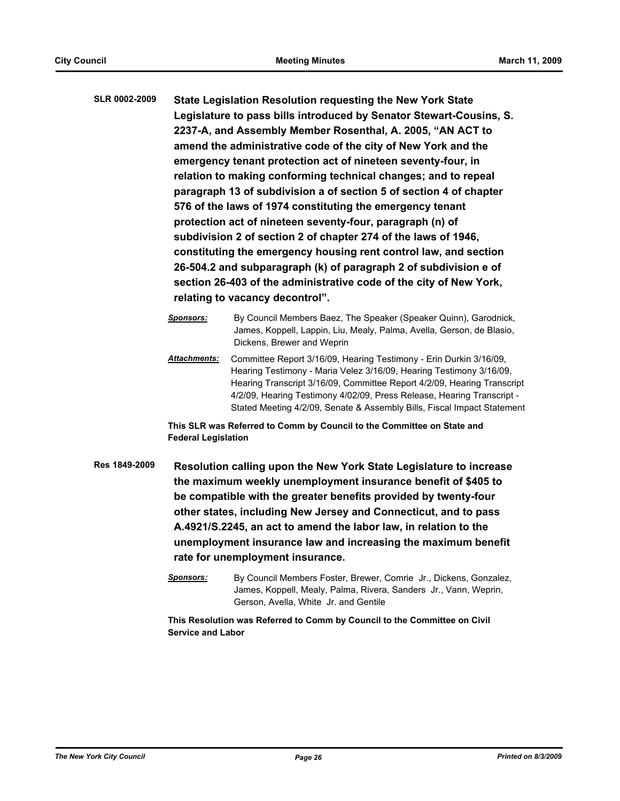**SLR 0002-2009 State Legislation Resolution requesting the New York State Legislature to pass bills introduced by Senator Stewart-Cousins, S. 2237-A, and Assembly Member Rosenthal, A. 2005, "AN ACT to amend the administrative code of the city of New York and the emergency tenant protection act of nineteen seventy-four, in relation to making conforming technical changes; and to repeal paragraph 13 of subdivision a of section 5 of section 4 of chapter 576 of the laws of 1974 constituting the emergency tenant protection act of nineteen seventy-four, paragraph (n) of subdivision 2 of section 2 of chapter 274 of the laws of 1946, constituting the emergency housing rent control law, and section 26-504.2 and subparagraph (k) of paragraph 2 of subdivision e of section 26-403 of the administrative code of the city of New York, relating to vacancy decontrol".**

- *Sponsors:* By Council Members Baez, The Speaker (Speaker Quinn), Garodnick, James, Koppell, Lappin, Liu, Mealy, Palma, Avella, Gerson, de Blasio, Dickens, Brewer and Weprin
- *Attachments:* Committee Report 3/16/09, Hearing Testimony Erin Durkin 3/16/09, Hearing Testimony - Maria Velez 3/16/09, Hearing Testimony 3/16/09, Hearing Transcript 3/16/09, Committee Report 4/2/09, Hearing Transcript 4/2/09, Hearing Testimony 4/02/09, Press Release, Hearing Transcript - Stated Meeting 4/2/09, Senate & Assembly Bills, Fiscal Impact Statement

**This SLR was Referred to Comm by Council to the Committee on State and Federal Legislation**

- **Res 1849-2009 Resolution calling upon the New York State Legislature to increase the maximum weekly unemployment insurance benefit of \$405 to be compatible with the greater benefits provided by twenty-four other states, including New Jersey and Connecticut, and to pass A.4921/S.2245, an act to amend the labor law, in relation to the unemployment insurance law and increasing the maximum benefit rate for unemployment insurance.**
	- *Sponsors:* By Council Members Foster, Brewer, Comrie Jr., Dickens, Gonzalez, James, Koppell, Mealy, Palma, Rivera, Sanders Jr., Vann, Weprin, Gerson, Avella, White Jr. and Gentile

**This Resolution was Referred to Comm by Council to the Committee on Civil Service and Labor**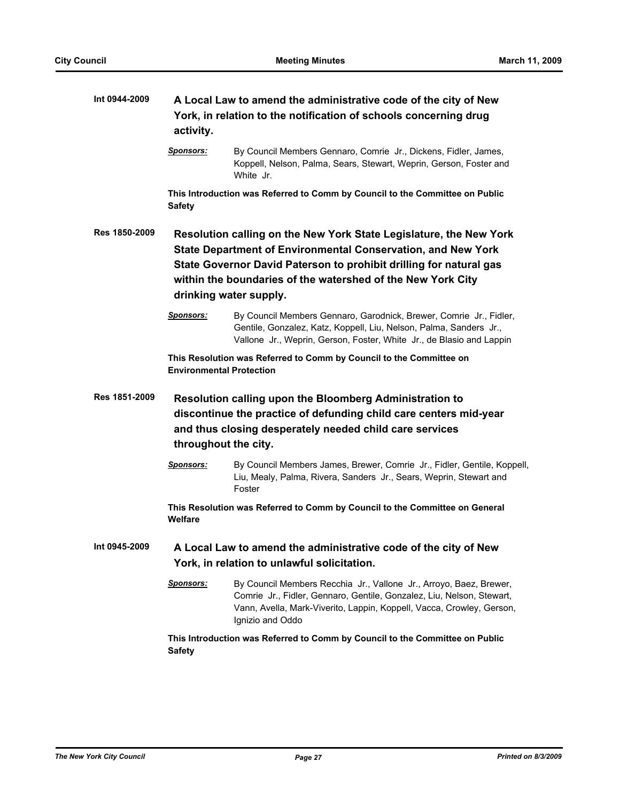| Int 0944-2009 | activity.                       | A Local Law to amend the administrative code of the city of New<br>York, in relation to the notification of schools concerning drug                                                                                                                                                                      |
|---------------|---------------------------------|----------------------------------------------------------------------------------------------------------------------------------------------------------------------------------------------------------------------------------------------------------------------------------------------------------|
|               | <b>Sponsors:</b>                | By Council Members Gennaro, Comrie Jr., Dickens, Fidler, James,<br>Koppell, Nelson, Palma, Sears, Stewart, Weprin, Gerson, Foster and<br>White Jr.                                                                                                                                                       |
|               | <b>Safety</b>                   | This Introduction was Referred to Comm by Council to the Committee on Public                                                                                                                                                                                                                             |
| Res 1850-2009 |                                 | Resolution calling on the New York State Legislature, the New York<br><b>State Department of Environmental Conservation, and New York</b><br>State Governor David Paterson to prohibit drilling for natural gas<br>within the boundaries of the watershed of the New York City<br>drinking water supply. |
|               | <b>Sponsors:</b>                | By Council Members Gennaro, Garodnick, Brewer, Comrie Jr., Fidler,<br>Gentile, Gonzalez, Katz, Koppell, Liu, Nelson, Palma, Sanders Jr.,<br>Vallone Jr., Weprin, Gerson, Foster, White Jr., de Blasio and Lappin                                                                                         |
|               | <b>Environmental Protection</b> | This Resolution was Referred to Comm by Council to the Committee on                                                                                                                                                                                                                                      |
| Res 1851-2009 | throughout the city.            | Resolution calling upon the Bloomberg Administration to<br>discontinue the practice of defunding child care centers mid-year<br>and thus closing desperately needed child care services                                                                                                                  |
|               | <u>Sponsors:</u>                | By Council Members James, Brewer, Comrie Jr., Fidler, Gentile, Koppell,<br>Liu, Mealy, Palma, Rivera, Sanders Jr., Sears, Weprin, Stewart and<br>Foster                                                                                                                                                  |
|               | <b>Welfare</b>                  | This Resolution was Referred to Comm by Council to the Committee on General                                                                                                                                                                                                                              |
| Int 0945-2009 |                                 | A Local Law to amend the administrative code of the city of New<br>York, in relation to unlawful solicitation.                                                                                                                                                                                           |
|               | <b>Sponsors:</b>                | By Council Members Recchia Jr., Vallone Jr., Arroyo, Baez, Brewer,<br>Comrie Jr., Fidler, Gennaro, Gentile, Gonzalez, Liu, Nelson, Stewart,<br>Vann, Avella, Mark-Viverito, Lappin, Koppell, Vacca, Crowley, Gerson,<br>Ignizio and Oddo                                                                 |
|               | <b>Safety</b>                   | This Introduction was Referred to Comm by Council to the Committee on Public                                                                                                                                                                                                                             |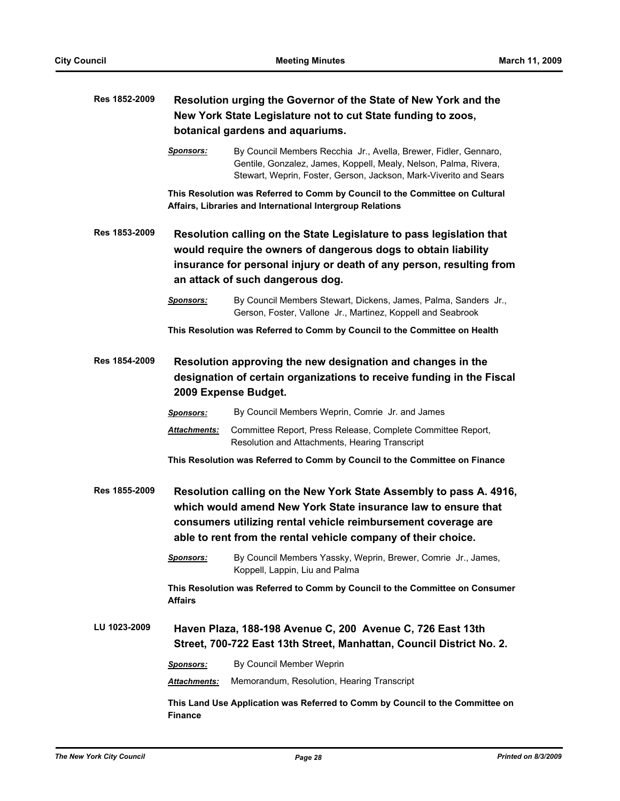| Res 1852-2009 | Resolution urging the Governor of the State of New York and the |                                                                                                                                                                                                                                                                       |
|---------------|-----------------------------------------------------------------|-----------------------------------------------------------------------------------------------------------------------------------------------------------------------------------------------------------------------------------------------------------------------|
|               |                                                                 | New York State Legislature not to cut State funding to zoos,<br>botanical gardens and aquariums.                                                                                                                                                                      |
|               |                                                                 |                                                                                                                                                                                                                                                                       |
|               | <b>Sponsors:</b>                                                | By Council Members Recchia Jr., Avella, Brewer, Fidler, Gennaro,<br>Gentile, Gonzalez, James, Koppell, Mealy, Nelson, Palma, Rivera,<br>Stewart, Weprin, Foster, Gerson, Jackson, Mark-Viverito and Sears                                                             |
|               |                                                                 | This Resolution was Referred to Comm by Council to the Committee on Cultural<br>Affairs, Libraries and International Intergroup Relations                                                                                                                             |
| Res 1853-2009 |                                                                 | Resolution calling on the State Legislature to pass legislation that<br>would require the owners of dangerous dogs to obtain liability<br>insurance for personal injury or death of any person, resulting from                                                        |
|               |                                                                 | an attack of such dangerous dog.                                                                                                                                                                                                                                      |
|               | <b>Sponsors:</b>                                                | By Council Members Stewart, Dickens, James, Palma, Sanders Jr.,<br>Gerson, Foster, Vallone Jr., Martinez, Koppell and Seabrook                                                                                                                                        |
|               |                                                                 | This Resolution was Referred to Comm by Council to the Committee on Health                                                                                                                                                                                            |
| Res 1854-2009 |                                                                 | Resolution approving the new designation and changes in the<br>designation of certain organizations to receive funding in the Fiscal<br>2009 Expense Budget.                                                                                                          |
|               | <b>Sponsors:</b>                                                | By Council Members Weprin, Comrie Jr. and James                                                                                                                                                                                                                       |
|               | <b>Attachments:</b>                                             | Committee Report, Press Release, Complete Committee Report,<br>Resolution and Attachments, Hearing Transcript                                                                                                                                                         |
|               |                                                                 | This Resolution was Referred to Comm by Council to the Committee on Finance                                                                                                                                                                                           |
| Res 1855-2009 |                                                                 | Resolution calling on the New York State Assembly to pass A. 4916,<br>which would amend New York State insurance law to ensure that<br>consumers utilizing rental vehicle reimbursement coverage are<br>able to rent from the rental vehicle company of their choice. |
|               | <u>Sponsors:</u>                                                | By Council Members Yassky, Weprin, Brewer, Comrie Jr., James,<br>Koppell, Lappin, Liu and Palma                                                                                                                                                                       |
|               | <b>Affairs</b>                                                  | This Resolution was Referred to Comm by Council to the Committee on Consumer                                                                                                                                                                                          |
| LU 1023-2009  |                                                                 | Haven Plaza, 188-198 Avenue C, 200 Avenue C, 726 East 13th<br>Street, 700-722 East 13th Street, Manhattan, Council District No. 2.                                                                                                                                    |
|               | <b>Sponsors:</b>                                                | By Council Member Weprin                                                                                                                                                                                                                                              |
|               | Attachments:                                                    | Memorandum, Resolution, Hearing Transcript                                                                                                                                                                                                                            |
|               | <b>Finance</b>                                                  | This Land Use Application was Referred to Comm by Council to the Committee on                                                                                                                                                                                         |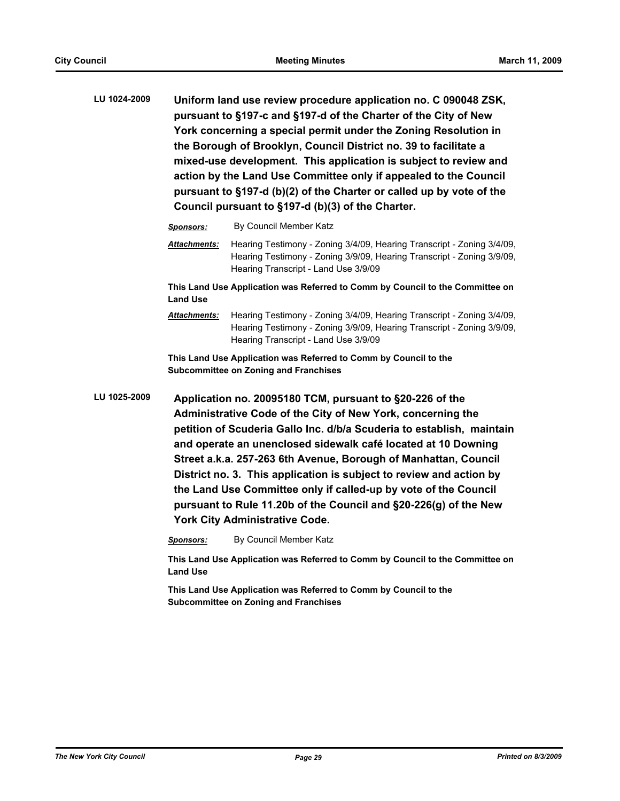**LU 1024-2009 Uniform land use review procedure application no. C 090048 ZSK, pursuant to §197-c and §197-d of the Charter of the City of New York concerning a special permit under the Zoning Resolution in the Borough of Brooklyn, Council District no. 39 to facilitate a mixed-use development. This application is subject to review and action by the Land Use Committee only if appealed to the Council pursuant to §197-d (b)(2) of the Charter or called up by vote of the Council pursuant to §197-d (b)(3) of the Charter.**

*Sponsors:* By Council Member Katz

*Attachments:* Hearing Testimony - Zoning 3/4/09, Hearing Transcript - Zoning 3/4/09, Hearing Testimony - Zoning 3/9/09, Hearing Transcript - Zoning 3/9/09, Hearing Transcript - Land Use 3/9/09

**This Land Use Application was Referred to Comm by Council to the Committee on Land Use**

*Attachments:* Hearing Testimony - Zoning 3/4/09, Hearing Transcript - Zoning 3/4/09, Hearing Testimony - Zoning 3/9/09, Hearing Transcript - Zoning 3/9/09, Hearing Transcript - Land Use 3/9/09

**This Land Use Application was Referred to Comm by Council to the Subcommittee on Zoning and Franchises**

**LU 1025-2009 Application no. 20095180 TCM, pursuant to §20-226 of the Administrative Code of the City of New York, concerning the petition of Scuderia Gallo Inc. d/b/a Scuderia to establish, maintain and operate an unenclosed sidewalk café located at 10 Downing Street a.k.a. 257-263 6th Avenue, Borough of Manhattan, Council District no. 3. This application is subject to review and action by the Land Use Committee only if called-up by vote of the Council pursuant to Rule 11.20b of the Council and §20-226(g) of the New York City Administrative Code.**

*Sponsors:* By Council Member Katz

**This Land Use Application was Referred to Comm by Council to the Committee on Land Use**

**This Land Use Application was Referred to Comm by Council to the Subcommittee on Zoning and Franchises**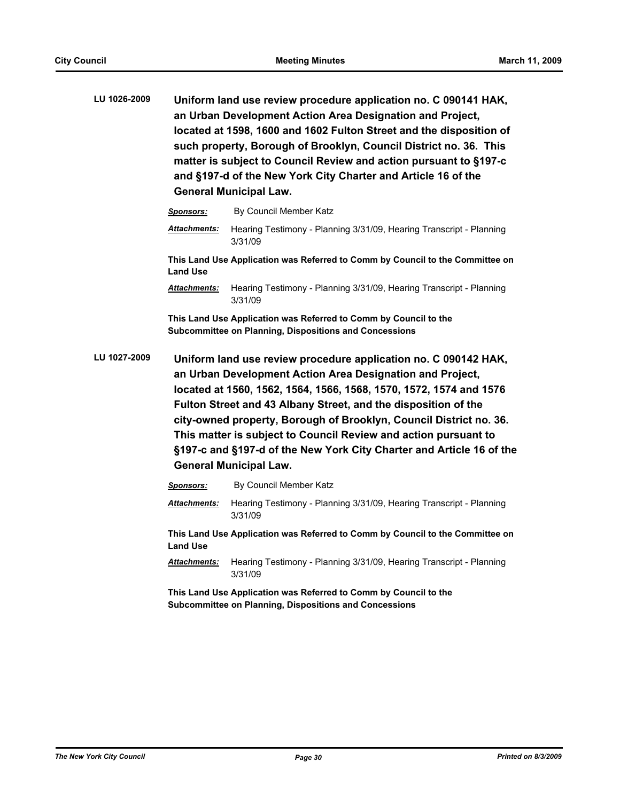| LU 1026-2009 | Uniform land use review procedure application no. C 090141 HAK,     |
|--------------|---------------------------------------------------------------------|
|              | an Urban Development Action Area Designation and Project,           |
|              | located at 1598, 1600 and 1602 Fulton Street and the disposition of |
|              | such property, Borough of Brooklyn, Council District no. 36. This   |
|              | matter is subject to Council Review and action pursuant to §197-c   |
|              | and §197-d of the New York City Charter and Article 16 of the       |
|              | <b>General Municipal Law.</b>                                       |

| <b>Sponsors:</b>    | By Council Member Katz                                                         |
|---------------------|--------------------------------------------------------------------------------|
| <b>Attachments:</b> | Hearing Testimony - Planning 3/31/09, Hearing Transcript - Planning<br>3/31/09 |
| <b>Land Use</b>     | This Land Use Application was Referred to Comm by Council to the Committee on  |
| <b>Attachments:</b> | Hearing Testimony - Planning 3/31/09, Hearing Transcript - Planning<br>3/31/09 |

**This Land Use Application was Referred to Comm by Council to the Subcommittee on Planning, Dispositions and Concessions**

**LU 1027-2009 Uniform land use review procedure application no. C 090142 HAK, an Urban Development Action Area Designation and Project, located at 1560, 1562, 1564, 1566, 1568, 1570, 1572, 1574 and 1576 Fulton Street and 43 Albany Street, and the disposition of the city-owned property, Borough of Brooklyn, Council District no. 36. This matter is subject to Council Review and action pursuant to §197-c and §197-d of the New York City Charter and Article 16 of the General Municipal Law.**

| <b>Sponsors:</b>    | By Council Member Katz                                                         |
|---------------------|--------------------------------------------------------------------------------|
| <b>Attachments:</b> | Hearing Testimony - Planning 3/31/09, Hearing Transcript - Planning<br>3/31/09 |
| <b>Land Use</b>     | This Land Use Application was Referred to Comm by Council to the Committee on  |
| <b>Attachments:</b> | Hearing Testimony - Planning 3/31/09, Hearing Transcript - Planning<br>3/31/09 |
|                     | This Land Llee Application was Peterred to Comm by Council to the              |

**This Land Use Application was Referred to Comm by Council to the Subcommittee on Planning, Dispositions and Concessions**